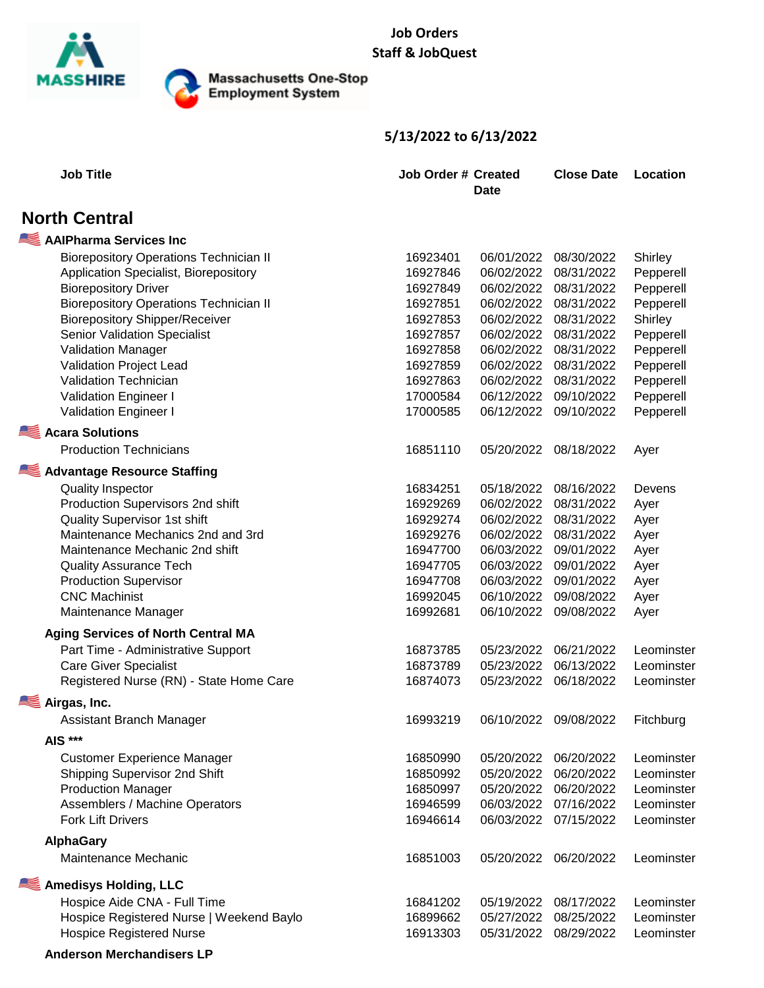

Massachusetts One-Stop<br>Employment System

## **5/13/2022 to 6/13/2022**

| <b>Job Title</b>                              | <b>Job Order # Created</b><br>Date |            | <b>Close Date</b> | Location   |  |
|-----------------------------------------------|------------------------------------|------------|-------------------|------------|--|
| <b>North Central</b>                          |                                    |            |                   |            |  |
| AAIPharma Services Inc                        |                                    |            |                   |            |  |
| <b>Biorepository Operations Technician II</b> | 16923401                           | 06/01/2022 | 08/30/2022        | Shirley    |  |
| Application Specialist, Biorepository         | 16927846                           | 06/02/2022 | 08/31/2022        | Pepperell  |  |
| <b>Biorepository Driver</b>                   | 16927849                           | 06/02/2022 | 08/31/2022        | Pepperell  |  |
| <b>Biorepository Operations Technician II</b> | 16927851                           | 06/02/2022 | 08/31/2022        | Pepperell  |  |
| <b>Biorepository Shipper/Receiver</b>         | 16927853                           | 06/02/2022 | 08/31/2022        | Shirley    |  |
| <b>Senior Validation Specialist</b>           | 16927857                           | 06/02/2022 | 08/31/2022        | Pepperell  |  |
| Validation Manager                            | 16927858                           | 06/02/2022 | 08/31/2022        | Pepperell  |  |
| Validation Project Lead                       | 16927859                           | 06/02/2022 | 08/31/2022        | Pepperell  |  |
| Validation Technician                         | 16927863                           | 06/02/2022 | 08/31/2022        | Pepperell  |  |
| Validation Engineer I                         | 17000584                           | 06/12/2022 | 09/10/2022        | Pepperell  |  |
| Validation Engineer I                         | 17000585                           | 06/12/2022 | 09/10/2022        | Pepperell  |  |
| <b>Acara Solutions</b>                        |                                    |            |                   |            |  |
| <b>Production Technicians</b>                 | 16851110                           | 05/20/2022 | 08/18/2022        | Ayer       |  |
| <b>Advantage Resource Staffing</b>            |                                    |            |                   |            |  |
| <b>Quality Inspector</b>                      | 16834251                           | 05/18/2022 | 08/16/2022        | Devens     |  |
| Production Supervisors 2nd shift              | 16929269                           | 06/02/2022 | 08/31/2022        | Ayer       |  |
| <b>Quality Supervisor 1st shift</b>           | 16929274                           | 06/02/2022 | 08/31/2022        | Ayer       |  |
| Maintenance Mechanics 2nd and 3rd             | 16929276                           | 06/02/2022 | 08/31/2022        | Ayer       |  |
| Maintenance Mechanic 2nd shift                | 16947700                           | 06/03/2022 | 09/01/2022        | Ayer       |  |
| <b>Quality Assurance Tech</b>                 | 16947705                           | 06/03/2022 | 09/01/2022        | Ayer       |  |
| <b>Production Supervisor</b>                  | 16947708                           | 06/03/2022 | 09/01/2022        | Ayer       |  |
| <b>CNC Machinist</b>                          | 16992045                           | 06/10/2022 | 09/08/2022        | Ayer       |  |
| Maintenance Manager                           | 16992681                           | 06/10/2022 | 09/08/2022        | Ayer       |  |
| <b>Aging Services of North Central MA</b>     |                                    |            |                   |            |  |
| Part Time - Administrative Support            | 16873785                           | 05/23/2022 | 06/21/2022        | Leominster |  |
| <b>Care Giver Specialist</b>                  | 16873789                           | 05/23/2022 | 06/13/2022        | Leominster |  |
| Registered Nurse (RN) - State Home Care       | 16874073                           | 05/23/2022 | 06/18/2022        | Leominster |  |
| Airgas, Inc.                                  |                                    |            |                   |            |  |
| Assistant Branch Manager                      | 16993219                           | 06/10/2022 | 09/08/2022        | Fitchburg  |  |
| <b>AIS ***</b>                                |                                    |            |                   |            |  |
| <b>Customer Experience Manager</b>            | 16850990                           | 05/20/2022 | 06/20/2022        | Leominster |  |
| Shipping Supervisor 2nd Shift                 | 16850992                           | 05/20/2022 | 06/20/2022        | Leominster |  |
| <b>Production Manager</b>                     | 16850997                           | 05/20/2022 | 06/20/2022        | Leominster |  |
| Assemblers / Machine Operators                | 16946599                           | 06/03/2022 | 07/16/2022        | Leominster |  |
| <b>Fork Lift Drivers</b>                      | 16946614                           | 06/03/2022 | 07/15/2022        | Leominster |  |
| <b>AlphaGary</b>                              |                                    |            |                   |            |  |
| Maintenance Mechanic                          | 16851003                           | 05/20/2022 | 06/20/2022        | Leominster |  |
| <b>Amedisys Holding, LLC</b>                  |                                    |            |                   |            |  |
| Hospice Aide CNA - Full Time                  | 16841202                           | 05/19/2022 | 08/17/2022        | Leominster |  |
| Hospice Registered Nurse   Weekend Baylo      | 16899662                           | 05/27/2022 | 08/25/2022        | Leominster |  |
| <b>Hospice Registered Nurse</b>               | 16913303                           | 05/31/2022 | 08/29/2022        | Leominster |  |
| <b>Anderson Merchandisers LP</b>              |                                    |            |                   |            |  |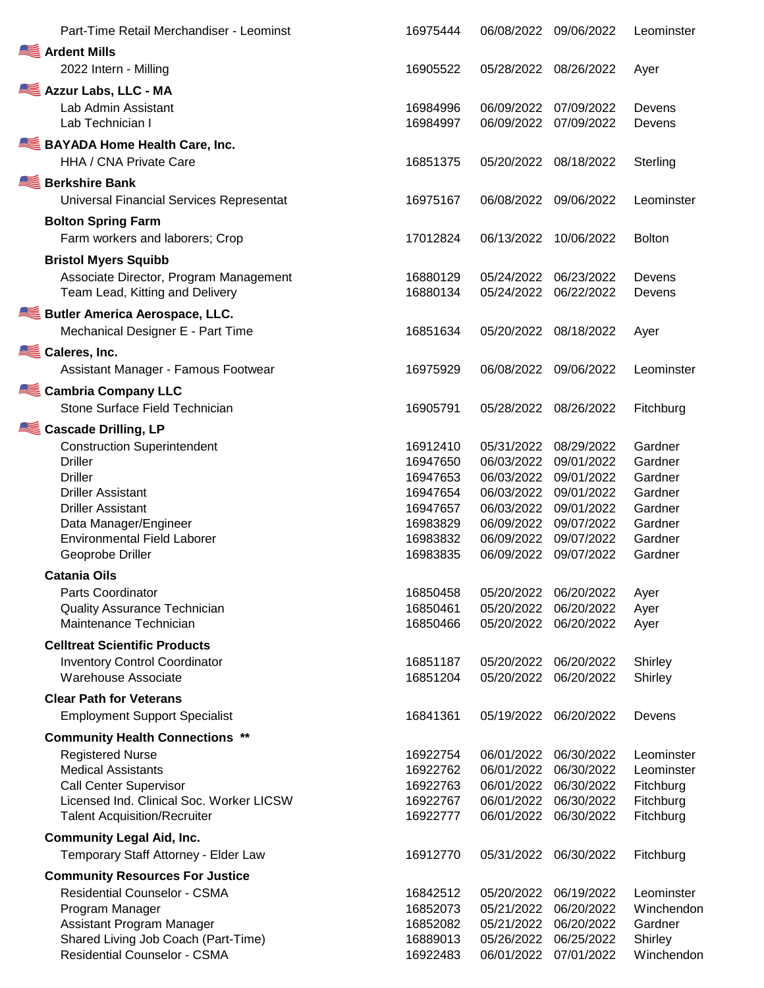| Part-Time Retail Merchandiser - Leominst | 16975444 | 06/08/2022 | 09/06/2022 | Leominster    |
|------------------------------------------|----------|------------|------------|---------------|
| Ardent Mills                             |          |            |            |               |
| 2022 Intern - Milling                    | 16905522 | 05/28/2022 | 08/26/2022 | Ayer          |
| Azzur Labs, LLC - MA                     |          |            |            |               |
| Lab Admin Assistant                      | 16984996 | 06/09/2022 | 07/09/2022 | Devens        |
| Lab Technician I                         | 16984997 | 06/09/2022 | 07/09/2022 | Devens        |
| <b>BAYADA Home Health Care, Inc.</b>     |          |            |            |               |
| HHA / CNA Private Care                   | 16851375 | 05/20/2022 | 08/18/2022 | Sterling      |
| <b>Berkshire Bank</b>                    |          |            |            |               |
| Universal Financial Services Representat | 16975167 | 06/08/2022 | 09/06/2022 | Leominster    |
| <b>Bolton Spring Farm</b>                |          |            |            |               |
| Farm workers and laborers; Crop          | 17012824 | 06/13/2022 | 10/06/2022 | <b>Bolton</b> |
| <b>Bristol Myers Squibb</b>              |          |            |            |               |
| Associate Director, Program Management   | 16880129 | 05/24/2022 | 06/23/2022 | Devens        |
| Team Lead, Kitting and Delivery          | 16880134 | 05/24/2022 | 06/22/2022 | Devens        |
| Butler America Aerospace, LLC.           |          |            |            |               |
| Mechanical Designer E - Part Time        | 16851634 | 05/20/2022 | 08/18/2022 | Ayer          |
| Caleres, Inc.                            |          |            |            |               |
| Assistant Manager - Famous Footwear      | 16975929 | 06/08/2022 | 09/06/2022 | Leominster    |
| Cambria Company LLC                      |          |            |            |               |
| Stone Surface Field Technician           | 16905791 | 05/28/2022 | 08/26/2022 | Fitchburg     |
| <b>Cascade Drilling, LP</b>              |          |            |            |               |
| <b>Construction Superintendent</b>       | 16912410 | 05/31/2022 | 08/29/2022 | Gardner       |
| <b>Driller</b>                           | 16947650 | 06/03/2022 | 09/01/2022 | Gardner       |
| <b>Driller</b>                           | 16947653 | 06/03/2022 | 09/01/2022 | Gardner       |
| <b>Driller Assistant</b>                 | 16947654 | 06/03/2022 | 09/01/2022 | Gardner       |
| <b>Driller Assistant</b>                 | 16947657 | 06/03/2022 | 09/01/2022 | Gardner       |
| Data Manager/Engineer                    | 16983829 | 06/09/2022 | 09/07/2022 | Gardner       |
| <b>Environmental Field Laborer</b>       | 16983832 | 06/09/2022 | 09/07/2022 | Gardner       |
| Geoprobe Driller                         | 16983835 | 06/09/2022 | 09/07/2022 | Gardner       |
| <b>Catania Oils</b>                      |          |            |            |               |
| <b>Parts Coordinator</b>                 | 16850458 | 05/20/2022 | 06/20/2022 | Ayer          |
| <b>Quality Assurance Technician</b>      | 16850461 | 05/20/2022 | 06/20/2022 | Ayer          |
| Maintenance Technician                   | 16850466 | 05/20/2022 | 06/20/2022 | Ayer          |
| <b>Celltreat Scientific Products</b>     |          |            |            |               |
| <b>Inventory Control Coordinator</b>     | 16851187 | 05/20/2022 | 06/20/2022 | Shirley       |
| Warehouse Associate                      | 16851204 | 05/20/2022 | 06/20/2022 | Shirley       |
| <b>Clear Path for Veterans</b>           |          |            |            |               |
| <b>Employment Support Specialist</b>     | 16841361 | 05/19/2022 | 06/20/2022 | Devens        |
| <b>Community Health Connections **</b>   |          |            |            |               |
| <b>Registered Nurse</b>                  | 16922754 | 06/01/2022 | 06/30/2022 | Leominster    |
| <b>Medical Assistants</b>                | 16922762 | 06/01/2022 | 06/30/2022 | Leominster    |
| <b>Call Center Supervisor</b>            | 16922763 | 06/01/2022 | 06/30/2022 | Fitchburg     |
| Licensed Ind. Clinical Soc. Worker LICSW | 16922767 | 06/01/2022 | 06/30/2022 | Fitchburg     |
| <b>Talent Acquisition/Recruiter</b>      | 16922777 | 06/01/2022 | 06/30/2022 | Fitchburg     |
| <b>Community Legal Aid, Inc.</b>         |          |            |            |               |
| Temporary Staff Attorney - Elder Law     | 16912770 | 05/31/2022 | 06/30/2022 | Fitchburg     |
| <b>Community Resources For Justice</b>   |          |            |            |               |
| <b>Residential Counselor - CSMA</b>      | 16842512 | 05/20/2022 | 06/19/2022 | Leominster    |
| Program Manager                          | 16852073 | 05/21/2022 | 06/20/2022 | Winchendon    |
| Assistant Program Manager                | 16852082 | 05/21/2022 | 06/20/2022 | Gardner       |
| Shared Living Job Coach (Part-Time)      | 16889013 | 05/26/2022 | 06/25/2022 | Shirley       |
| <b>Residential Counselor - CSMA</b>      | 16922483 | 06/01/2022 | 07/01/2022 | Winchendon    |
|                                          |          |            |            |               |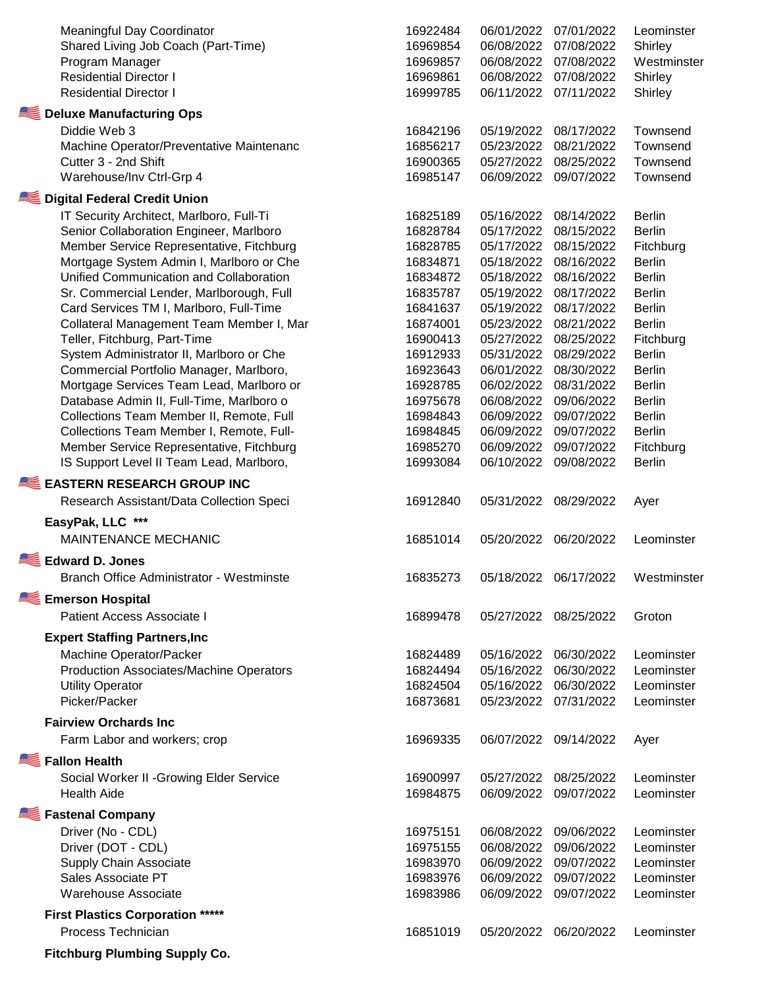| <b>Meaningful Day Coordinator</b><br>Shared Living Job Coach (Part-Time)<br>Program Manager<br><b>Residential Director I</b><br><b>Residential Director I</b> | 16922484<br>16969854<br>16969857<br>16969861<br>16999785 | 06/01/2022<br>06/08/2022<br>06/08/2022<br>06/08/2022<br>06/11/2022 | 07/01/2022<br>07/08/2022<br>07/08/2022<br>07/08/2022<br>07/11/2022 | Leominster<br>Shirley<br>Westminster<br>Shirley<br>Shirley |
|---------------------------------------------------------------------------------------------------------------------------------------------------------------|----------------------------------------------------------|--------------------------------------------------------------------|--------------------------------------------------------------------|------------------------------------------------------------|
| Deluxe Manufacturing Ops                                                                                                                                      |                                                          |                                                                    |                                                                    |                                                            |
| Diddie Web 3                                                                                                                                                  | 16842196                                                 | 05/19/2022                                                         | 08/17/2022                                                         | Townsend                                                   |
| Machine Operator/Preventative Maintenanc                                                                                                                      | 16856217                                                 | 05/23/2022                                                         | 08/21/2022                                                         | Townsend                                                   |
| Cutter 3 - 2nd Shift                                                                                                                                          | 16900365                                                 | 05/27/2022                                                         | 08/25/2022                                                         | Townsend                                                   |
| Warehouse/Inv Ctrl-Grp 4                                                                                                                                      | 16985147                                                 | 06/09/2022                                                         | 09/07/2022                                                         | Townsend                                                   |
| Digital Federal Credit Union                                                                                                                                  |                                                          |                                                                    |                                                                    |                                                            |
| IT Security Architect, Marlboro, Full-Ti                                                                                                                      | 16825189                                                 | 05/16/2022                                                         | 08/14/2022                                                         | <b>Berlin</b>                                              |
| Senior Collaboration Engineer, Marlboro                                                                                                                       | 16828784                                                 | 05/17/2022                                                         | 08/15/2022                                                         | <b>Berlin</b>                                              |
| Member Service Representative, Fitchburg                                                                                                                      | 16828785                                                 | 05/17/2022                                                         | 08/15/2022                                                         | Fitchburg                                                  |
| Mortgage System Admin I, Marlboro or Che                                                                                                                      | 16834871                                                 | 05/18/2022                                                         | 08/16/2022                                                         | <b>Berlin</b>                                              |
| Unified Communication and Collaboration                                                                                                                       | 16834872                                                 | 05/18/2022                                                         | 08/16/2022                                                         | <b>Berlin</b>                                              |
| Sr. Commercial Lender, Marlborough, Full                                                                                                                      | 16835787                                                 | 05/19/2022                                                         | 08/17/2022                                                         | <b>Berlin</b>                                              |
| Card Services TM I, Marlboro, Full-Time                                                                                                                       | 16841637                                                 | 05/19/2022                                                         | 08/17/2022                                                         | <b>Berlin</b>                                              |
| Collateral Management Team Member I, Mar                                                                                                                      | 16874001                                                 | 05/23/2022                                                         | 08/21/2022                                                         | <b>Berlin</b>                                              |
| Teller, Fitchburg, Part-Time                                                                                                                                  | 16900413                                                 | 05/27/2022                                                         | 08/25/2022                                                         | Fitchburg                                                  |
| System Administrator II, Marlboro or Che                                                                                                                      | 16912933                                                 | 05/31/2022                                                         | 08/29/2022                                                         | <b>Berlin</b>                                              |
| Commercial Portfolio Manager, Marlboro,                                                                                                                       | 16923643                                                 | 06/01/2022                                                         | 08/30/2022                                                         | <b>Berlin</b>                                              |
| Mortgage Services Team Lead, Marlboro or                                                                                                                      | 16928785                                                 | 06/02/2022                                                         | 08/31/2022                                                         | <b>Berlin</b>                                              |
|                                                                                                                                                               |                                                          | 06/08/2022                                                         | 09/06/2022                                                         | <b>Berlin</b>                                              |
| Database Admin II, Full-Time, Marlboro o                                                                                                                      | 16975678                                                 | 06/09/2022                                                         |                                                                    |                                                            |
| Collections Team Member II, Remote, Full                                                                                                                      | 16984843<br>16984845                                     | 06/09/2022                                                         | 09/07/2022<br>09/07/2022                                           | <b>Berlin</b>                                              |
| Collections Team Member I, Remote, Full-                                                                                                                      |                                                          | 06/09/2022                                                         | 09/07/2022                                                         | <b>Berlin</b>                                              |
| Member Service Representative, Fitchburg                                                                                                                      | 16985270                                                 | 06/10/2022                                                         |                                                                    | Fitchburg                                                  |
| IS Support Level II Team Lead, Marlboro,                                                                                                                      | 16993084                                                 |                                                                    | 09/08/2022                                                         | <b>Berlin</b>                                              |
| <b>EASTERN RESEARCH GROUP INC</b>                                                                                                                             |                                                          |                                                                    |                                                                    |                                                            |
| Research Assistant/Data Collection Speci                                                                                                                      | 16912840                                                 | 05/31/2022                                                         | 08/29/2022                                                         | Ayer                                                       |
| EasyPak, LLC ***                                                                                                                                              |                                                          |                                                                    |                                                                    |                                                            |
| <b>MAINTENANCE MECHANIC</b>                                                                                                                                   | 16851014                                                 | 05/20/2022                                                         | 06/20/2022                                                         | Leominster                                                 |
| <b>Edward D. Jones</b>                                                                                                                                        |                                                          |                                                                    |                                                                    |                                                            |
| Branch Office Administrator - Westminste                                                                                                                      | 16835273                                                 | 05/18/2022                                                         | 06/17/2022                                                         | Westminster                                                |
| <b>Emerson Hospital</b>                                                                                                                                       |                                                          |                                                                    |                                                                    |                                                            |
| Patient Access Associate I                                                                                                                                    | 16899478                                                 | 05/27/2022                                                         | 08/25/2022                                                         | Groton                                                     |
| <b>Expert Staffing Partners, Inc.</b>                                                                                                                         |                                                          |                                                                    |                                                                    |                                                            |
|                                                                                                                                                               |                                                          |                                                                    |                                                                    |                                                            |
| Machine Operator/Packer                                                                                                                                       | 16824489<br>16824494                                     | 05/16/2022                                                         | 06/30/2022                                                         | Leominster                                                 |
| <b>Production Associates/Machine Operators</b>                                                                                                                | 16824504                                                 | 05/16/2022<br>05/16/2022                                           | 06/30/2022                                                         | Leominster<br>Leominster                                   |
| <b>Utility Operator</b><br>Picker/Packer                                                                                                                      | 16873681                                                 | 05/23/2022                                                         | 06/30/2022<br>07/31/2022                                           | Leominster                                                 |
|                                                                                                                                                               |                                                          |                                                                    |                                                                    |                                                            |
| <b>Fairview Orchards Inc</b>                                                                                                                                  |                                                          |                                                                    |                                                                    |                                                            |
| Farm Labor and workers; crop                                                                                                                                  | 16969335                                                 | 06/07/2022                                                         | 09/14/2022                                                         | Ayer                                                       |
| <b>Fallon Health</b>                                                                                                                                          |                                                          |                                                                    |                                                                    |                                                            |
| Social Worker II - Growing Elder Service                                                                                                                      | 16900997                                                 | 05/27/2022                                                         | 08/25/2022                                                         | Leominster                                                 |
| <b>Health Aide</b>                                                                                                                                            | 16984875                                                 | 06/09/2022                                                         | 09/07/2022                                                         | Leominster                                                 |
| <b>Fastenal Company</b>                                                                                                                                       |                                                          |                                                                    |                                                                    |                                                            |
| Driver (No - CDL)                                                                                                                                             | 16975151                                                 | 06/08/2022                                                         | 09/06/2022                                                         | Leominster                                                 |
| Driver (DOT - CDL)                                                                                                                                            | 16975155                                                 | 06/08/2022                                                         | 09/06/2022                                                         | Leominster                                                 |
| Supply Chain Associate                                                                                                                                        | 16983970                                                 | 06/09/2022                                                         | 09/07/2022                                                         | Leominster                                                 |
| Sales Associate PT                                                                                                                                            | 16983976                                                 | 06/09/2022                                                         | 09/07/2022                                                         | Leominster                                                 |
| <b>Warehouse Associate</b>                                                                                                                                    | 16983986                                                 | 06/09/2022                                                         | 09/07/2022                                                         | Leominster                                                 |
|                                                                                                                                                               |                                                          |                                                                    |                                                                    |                                                            |
| <b>First Plastics Corporation *****</b><br>Process Technician                                                                                                 |                                                          |                                                                    |                                                                    |                                                            |
|                                                                                                                                                               | 16851019                                                 | 05/20/2022                                                         | 06/20/2022                                                         | Leominster                                                 |
| <b>Fitchburg Plumbing Supply Co.</b>                                                                                                                          |                                                          |                                                                    |                                                                    |                                                            |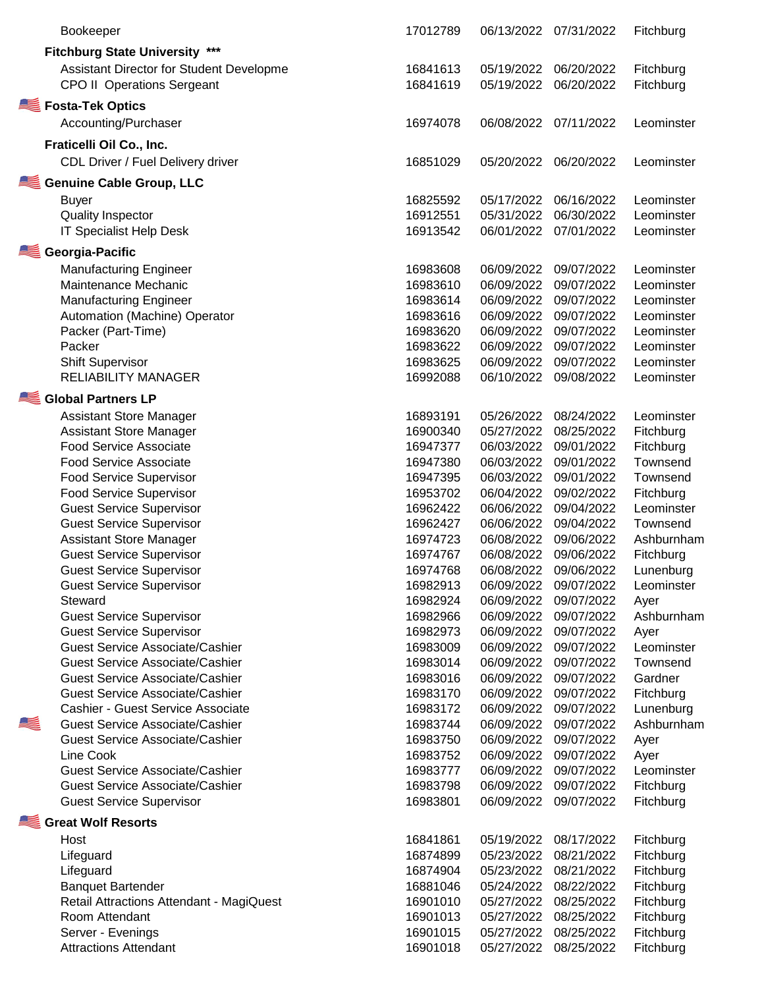|             | Bookeeper                                | 17012789 | 06/13/2022 | 07/31/2022 | Fitchburg  |
|-------------|------------------------------------------|----------|------------|------------|------------|
|             | <b>Fitchburg State University ***</b>    |          |            |            |            |
|             | Assistant Director for Student Developme | 16841613 | 05/19/2022 | 06/20/2022 | Fitchburg  |
|             | <b>CPO II Operations Sergeant</b>        | 16841619 | 05/19/2022 | 06/20/2022 | Fitchburg  |
|             |                                          |          |            |            |            |
|             | Fosta-Tek Optics                         |          |            |            |            |
|             | Accounting/Purchaser                     | 16974078 | 06/08/2022 | 07/11/2022 | Leominster |
|             | Fraticelli Oil Co., Inc.                 |          |            |            |            |
|             |                                          | 16851029 | 05/20/2022 | 06/20/2022 | Leominster |
|             | CDL Driver / Fuel Delivery driver        |          |            |            |            |
|             | <b>Genuine Cable Group, LLC</b>          |          |            |            |            |
|             | <b>Buyer</b>                             | 16825592 | 05/17/2022 | 06/16/2022 | Leominster |
|             | <b>Quality Inspector</b>                 | 16912551 | 05/31/2022 | 06/30/2022 | Leominster |
|             | <b>IT Specialist Help Desk</b>           | 16913542 | 06/01/2022 | 07/01/2022 | Leominster |
|             | Georgia-Pacific                          |          |            |            |            |
|             | <b>Manufacturing Engineer</b>            | 16983608 | 06/09/2022 | 09/07/2022 | Leominster |
|             | Maintenance Mechanic                     | 16983610 | 06/09/2022 | 09/07/2022 | Leominster |
|             | <b>Manufacturing Engineer</b>            | 16983614 | 06/09/2022 | 09/07/2022 |            |
|             |                                          | 16983616 | 06/09/2022 | 09/07/2022 | Leominster |
|             | Automation (Machine) Operator            |          |            |            | Leominster |
|             | Packer (Part-Time)                       | 16983620 | 06/09/2022 | 09/07/2022 | Leominster |
|             | Packer                                   | 16983622 | 06/09/2022 | 09/07/2022 | Leominster |
|             | <b>Shift Supervisor</b>                  | 16983625 | 06/09/2022 | 09/07/2022 | Leominster |
|             | <b>RELIABILITY MANAGER</b>               | 16992088 | 06/10/2022 | 09/08/2022 | Leominster |
|             | <b>Global Partners LP</b>                |          |            |            |            |
|             | <b>Assistant Store Manager</b>           | 16893191 | 05/26/2022 | 08/24/2022 | Leominster |
|             | <b>Assistant Store Manager</b>           | 16900340 | 05/27/2022 | 08/25/2022 | Fitchburg  |
|             | <b>Food Service Associate</b>            | 16947377 | 06/03/2022 | 09/01/2022 | Fitchburg  |
|             | <b>Food Service Associate</b>            | 16947380 | 06/03/2022 | 09/01/2022 | Townsend   |
|             | <b>Food Service Supervisor</b>           | 16947395 | 06/03/2022 | 09/01/2022 | Townsend   |
|             | <b>Food Service Supervisor</b>           | 16953702 | 06/04/2022 | 09/02/2022 | Fitchburg  |
|             | <b>Guest Service Supervisor</b>          | 16962422 | 06/06/2022 | 09/04/2022 | Leominster |
|             | <b>Guest Service Supervisor</b>          | 16962427 | 06/06/2022 | 09/04/2022 | Townsend   |
|             | <b>Assistant Store Manager</b>           | 16974723 | 06/08/2022 | 09/06/2022 | Ashburnham |
|             | <b>Guest Service Supervisor</b>          | 16974767 | 06/08/2022 | 09/06/2022 | Fitchburg  |
|             | <b>Guest Service Supervisor</b>          | 16974768 | 06/08/2022 | 09/06/2022 | Lunenburg  |
|             | <b>Guest Service Supervisor</b>          | 16982913 | 06/09/2022 | 09/07/2022 | Leominster |
|             | Steward                                  | 16982924 | 06/09/2022 | 09/07/2022 | Ayer       |
|             | <b>Guest Service Supervisor</b>          | 16982966 | 06/09/2022 | 09/07/2022 | Ashburnham |
|             | <b>Guest Service Supervisor</b>          | 16982973 | 06/09/2022 | 09/07/2022 | Ayer       |
|             | <b>Guest Service Associate/Cashier</b>   | 16983009 | 06/09/2022 | 09/07/2022 | Leominster |
|             | <b>Guest Service Associate/Cashier</b>   | 16983014 | 06/09/2022 | 09/07/2022 | Townsend   |
|             | <b>Guest Service Associate/Cashier</b>   | 16983016 | 06/09/2022 | 09/07/2022 | Gardner    |
|             | <b>Guest Service Associate/Cashier</b>   | 16983170 | 06/09/2022 | 09/07/2022 | Fitchburg  |
|             | Cashier - Guest Service Associate        | 16983172 | 06/09/2022 | 09/07/2022 | Lunenburg  |
| <u>is p</u> | <b>Guest Service Associate/Cashier</b>   | 16983744 | 06/09/2022 | 09/07/2022 | Ashburnham |
|             | <b>Guest Service Associate/Cashier</b>   | 16983750 | 06/09/2022 | 09/07/2022 | Ayer       |
|             | Line Cook                                | 16983752 | 06/09/2022 | 09/07/2022 | Ayer       |
|             | <b>Guest Service Associate/Cashier</b>   | 16983777 | 06/09/2022 | 09/07/2022 | Leominster |
|             | <b>Guest Service Associate/Cashier</b>   | 16983798 | 06/09/2022 | 09/07/2022 | Fitchburg  |
|             | <b>Guest Service Supervisor</b>          | 16983801 | 06/09/2022 | 09/07/2022 | Fitchburg  |
|             | Great Wolf Resorts                       |          |            |            |            |
|             |                                          |          |            |            |            |
|             | Host                                     | 16841861 | 05/19/2022 | 08/17/2022 | Fitchburg  |
|             | Lifeguard                                | 16874899 | 05/23/2022 | 08/21/2022 | Fitchburg  |
|             | Lifeguard                                | 16874904 | 05/23/2022 | 08/21/2022 | Fitchburg  |
|             | <b>Banquet Bartender</b>                 | 16881046 | 05/24/2022 | 08/22/2022 | Fitchburg  |
|             | Retail Attractions Attendant - MagiQuest | 16901010 | 05/27/2022 | 08/25/2022 | Fitchburg  |
|             | Room Attendant                           | 16901013 | 05/27/2022 | 08/25/2022 | Fitchburg  |
|             | Server - Evenings                        | 16901015 | 05/27/2022 | 08/25/2022 | Fitchburg  |
|             | <b>Attractions Attendant</b>             | 16901018 | 05/27/2022 | 08/25/2022 | Fitchburg  |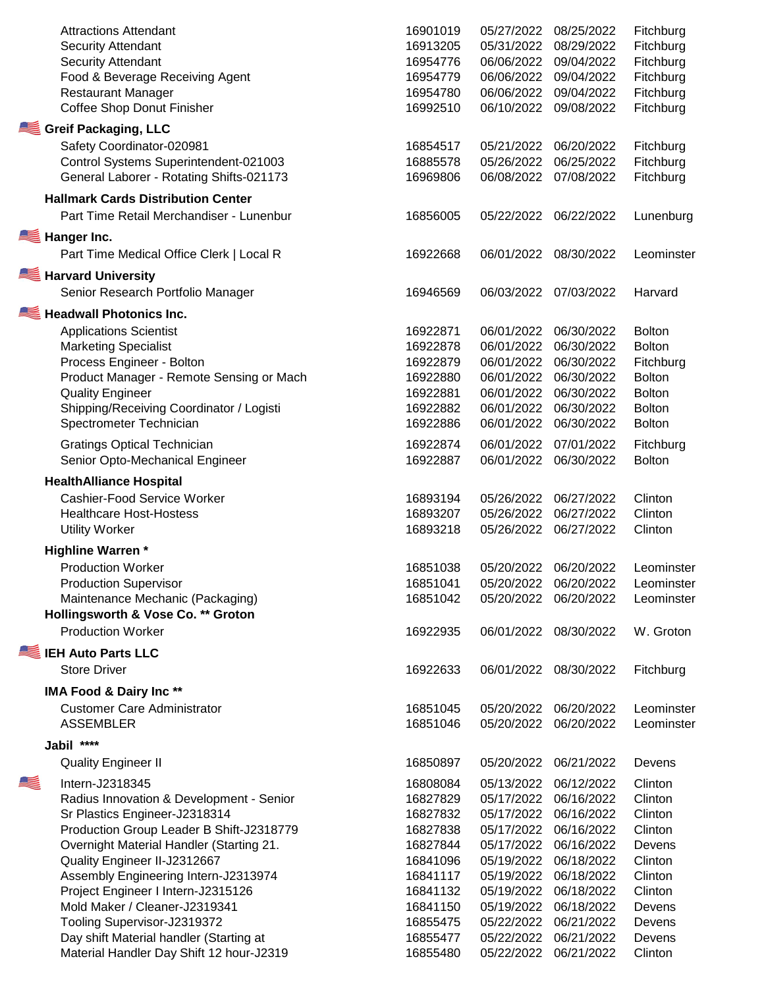|   | <b>Attractions Attendant</b><br><b>Security Attendant</b><br><b>Security Attendant</b><br>Food & Beverage Receiving Agent<br><b>Restaurant Manager</b><br>Coffee Shop Donut Finisher                                                                                                                                                                                                       | 16901019<br>16913205<br>16954776<br>16954779<br>16954780<br>16992510                                                 | 05/27/2022<br>05/31/2022<br>06/06/2022<br>06/06/2022<br>06/06/2022<br>06/10/2022                                                         | 08/25/2022<br>08/29/2022<br>09/04/2022<br>09/04/2022<br>09/04/2022<br>09/08/2022                                                         | Fitchburg<br>Fitchburg<br>Fitchburg<br>Fitchburg<br>Fitchburg<br>Fitchburg                                      |
|---|--------------------------------------------------------------------------------------------------------------------------------------------------------------------------------------------------------------------------------------------------------------------------------------------------------------------------------------------------------------------------------------------|----------------------------------------------------------------------------------------------------------------------|------------------------------------------------------------------------------------------------------------------------------------------|------------------------------------------------------------------------------------------------------------------------------------------|-----------------------------------------------------------------------------------------------------------------|
|   | Greif Packaging, LLC<br>Safety Coordinator-020981<br>Control Systems Superintendent-021003<br>General Laborer - Rotating Shifts-021173                                                                                                                                                                                                                                                     | 16854517<br>16885578<br>16969806                                                                                     | 05/21/2022<br>05/26/2022<br>06/08/2022                                                                                                   | 06/20/2022<br>06/25/2022<br>07/08/2022                                                                                                   | Fitchburg<br>Fitchburg<br>Fitchburg                                                                             |
|   | <b>Hallmark Cards Distribution Center</b><br>Part Time Retail Merchandiser - Lunenbur                                                                                                                                                                                                                                                                                                      | 16856005                                                                                                             | 05/22/2022                                                                                                                               | 06/22/2022                                                                                                                               | Lunenburg                                                                                                       |
|   | Hanger Inc.<br>Part Time Medical Office Clerk   Local R                                                                                                                                                                                                                                                                                                                                    | 16922668                                                                                                             | 06/01/2022                                                                                                                               | 08/30/2022                                                                                                                               | Leominster                                                                                                      |
|   | <b>Harvard University</b><br>Senior Research Portfolio Manager                                                                                                                                                                                                                                                                                                                             | 16946569                                                                                                             | 06/03/2022                                                                                                                               | 07/03/2022                                                                                                                               | Harvard                                                                                                         |
|   | Headwall Photonics Inc.<br><b>Applications Scientist</b><br><b>Marketing Specialist</b><br>Process Engineer - Bolton<br>Product Manager - Remote Sensing or Mach<br><b>Quality Engineer</b><br>Shipping/Receiving Coordinator / Logisti<br>Spectrometer Technician                                                                                                                         | 16922871<br>16922878<br>16922879<br>16922880<br>16922881<br>16922882<br>16922886                                     | 06/01/2022<br>06/01/2022<br>06/01/2022<br>06/01/2022<br>06/01/2022<br>06/01/2022<br>06/01/2022                                           | 06/30/2022<br>06/30/2022<br>06/30/2022<br>06/30/2022<br>06/30/2022<br>06/30/2022<br>06/30/2022                                           | <b>Bolton</b><br><b>Bolton</b><br>Fitchburg<br><b>Bolton</b><br><b>Bolton</b><br><b>Bolton</b><br><b>Bolton</b> |
|   | <b>Gratings Optical Technician</b><br>Senior Opto-Mechanical Engineer                                                                                                                                                                                                                                                                                                                      | 16922874<br>16922887                                                                                                 | 06/01/2022<br>06/01/2022                                                                                                                 | 07/01/2022<br>06/30/2022                                                                                                                 | Fitchburg<br><b>Bolton</b>                                                                                      |
|   | <b>HealthAlliance Hospital</b><br>Cashier-Food Service Worker<br><b>Healthcare Host-Hostess</b><br><b>Utility Worker</b>                                                                                                                                                                                                                                                                   | 16893194<br>16893207<br>16893218                                                                                     | 05/26/2022<br>05/26/2022<br>05/26/2022                                                                                                   | 06/27/2022<br>06/27/2022<br>06/27/2022                                                                                                   | Clinton<br>Clinton<br>Clinton                                                                                   |
|   | <b>Highline Warren*</b><br><b>Production Worker</b><br><b>Production Supervisor</b><br>Maintenance Mechanic (Packaging)<br>Hollingsworth & Vose Co. ** Groton<br><b>Production Worker</b>                                                                                                                                                                                                  | 16851038<br>16851041<br>16851042<br>16922935                                                                         | 05/20/2022 06/20/2022<br>05/20/2022<br>06/01/2022                                                                                        | 05/20/2022 06/20/2022<br>06/20/2022<br>08/30/2022                                                                                        | Leominster<br>Leominster<br>Leominster<br>W. Groton                                                             |
|   | <b>IEH Auto Parts LLC</b><br><b>Store Driver</b>                                                                                                                                                                                                                                                                                                                                           | 16922633                                                                                                             | 06/01/2022                                                                                                                               | 08/30/2022                                                                                                                               | Fitchburg                                                                                                       |
|   | <b>IMA Food &amp; Dairy Inc**</b><br><b>Customer Care Administrator</b><br><b>ASSEMBLER</b>                                                                                                                                                                                                                                                                                                | 16851045<br>16851046                                                                                                 | 05/20/2022<br>05/20/2022                                                                                                                 | 06/20/2022<br>06/20/2022                                                                                                                 | Leominster<br>Leominster                                                                                        |
|   | ****<br>Jabil                                                                                                                                                                                                                                                                                                                                                                              |                                                                                                                      |                                                                                                                                          |                                                                                                                                          |                                                                                                                 |
| K | <b>Quality Engineer II</b><br>Intern-J2318345<br>Radius Innovation & Development - Senior                                                                                                                                                                                                                                                                                                  | 16850897<br>16808084<br>16827829                                                                                     | 05/20/2022<br>05/13/2022<br>05/17/2022                                                                                                   | 06/21/2022<br>06/12/2022<br>06/16/2022                                                                                                   | Devens<br>Clinton<br>Clinton                                                                                    |
|   | Sr Plastics Engineer-J2318314<br>Production Group Leader B Shift-J2318779<br>Overnight Material Handler (Starting 21.<br>Quality Engineer II-J2312667<br>Assembly Engineering Intern-J2313974<br>Project Engineer I Intern-J2315126<br>Mold Maker / Cleaner-J2319341<br>Tooling Supervisor-J2319372<br>Day shift Material handler (Starting at<br>Material Handler Day Shift 12 hour-J2319 | 16827832<br>16827838<br>16827844<br>16841096<br>16841117<br>16841132<br>16841150<br>16855475<br>16855477<br>16855480 | 05/17/2022<br>05/17/2022<br>05/17/2022<br>05/19/2022<br>05/19/2022<br>05/19/2022<br>05/19/2022<br>05/22/2022<br>05/22/2022<br>05/22/2022 | 06/16/2022<br>06/16/2022<br>06/16/2022<br>06/18/2022<br>06/18/2022<br>06/18/2022<br>06/18/2022<br>06/21/2022<br>06/21/2022<br>06/21/2022 | Clinton<br>Clinton<br>Devens<br>Clinton<br>Clinton<br>Clinton<br>Devens<br>Devens<br>Devens<br>Clinton          |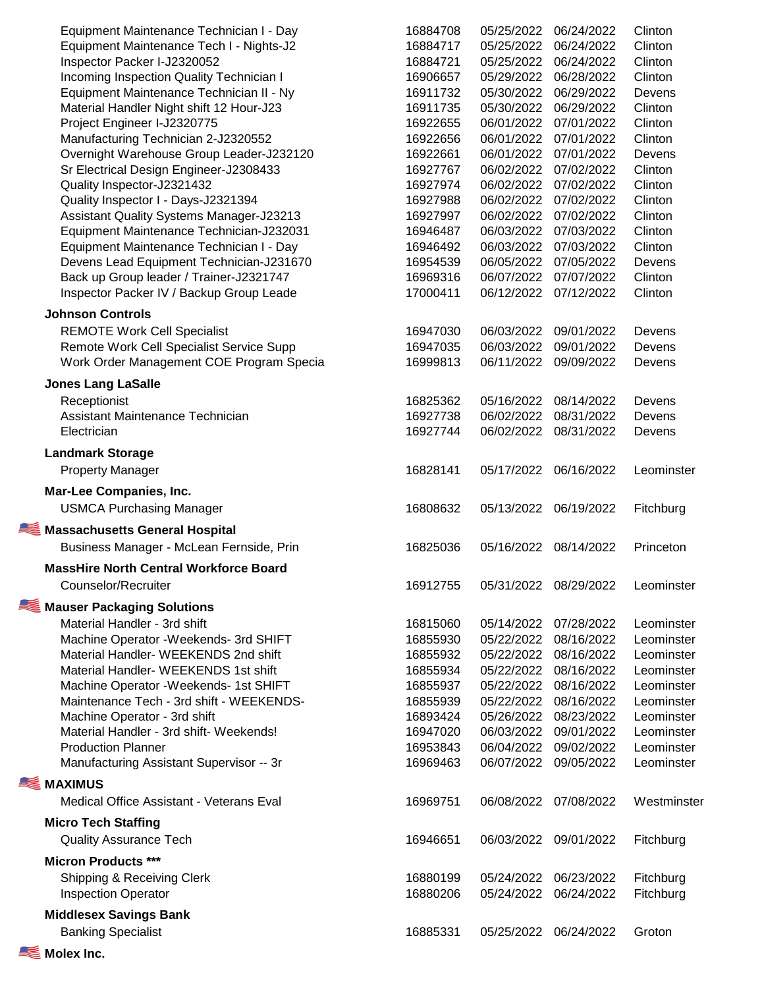| Equipment Maintenance Technician I - Day        | 16884708 | 05/25/2022 | 06/24/2022            | Clinton     |
|-------------------------------------------------|----------|------------|-----------------------|-------------|
| Equipment Maintenance Tech I - Nights-J2        | 16884717 | 05/25/2022 | 06/24/2022            | Clinton     |
| Inspector Packer I-J2320052                     | 16884721 | 05/25/2022 | 06/24/2022            | Clinton     |
| Incoming Inspection Quality Technician I        | 16906657 | 05/29/2022 | 06/28/2022            | Clinton     |
| Equipment Maintenance Technician II - Ny        | 16911732 | 05/30/2022 | 06/29/2022            | Devens      |
| Material Handler Night shift 12 Hour-J23        | 16911735 | 05/30/2022 | 06/29/2022            | Clinton     |
| Project Engineer I-J2320775                     | 16922655 | 06/01/2022 | 07/01/2022            | Clinton     |
| Manufacturing Technician 2-J2320552             | 16922656 | 06/01/2022 | 07/01/2022            | Clinton     |
| Overnight Warehouse Group Leader-J232120        | 16922661 | 06/01/2022 | 07/01/2022            | Devens      |
| Sr Electrical Design Engineer-J2308433          | 16927767 | 06/02/2022 | 07/02/2022            | Clinton     |
| Quality Inspector-J2321432                      | 16927974 | 06/02/2022 | 07/02/2022            | Clinton     |
| Quality Inspector I - Days-J2321394             | 16927988 | 06/02/2022 | 07/02/2022            | Clinton     |
|                                                 | 16927997 | 06/02/2022 | 07/02/2022            | Clinton     |
| <b>Assistant Quality Systems Manager-J23213</b> |          |            |                       |             |
| Equipment Maintenance Technician-J232031        | 16946487 | 06/03/2022 | 07/03/2022            | Clinton     |
| Equipment Maintenance Technician I - Day        | 16946492 | 06/03/2022 | 07/03/2022            | Clinton     |
| Devens Lead Equipment Technician-J231670        | 16954539 | 06/05/2022 | 07/05/2022            | Devens      |
| Back up Group leader / Trainer-J2321747         | 16969316 | 06/07/2022 | 07/07/2022            | Clinton     |
| Inspector Packer IV / Backup Group Leade        | 17000411 | 06/12/2022 | 07/12/2022            | Clinton     |
| <b>Johnson Controls</b>                         |          |            |                       |             |
| <b>REMOTE Work Cell Specialist</b>              | 16947030 | 06/03/2022 | 09/01/2022            | Devens      |
| Remote Work Cell Specialist Service Supp        | 16947035 | 06/03/2022 | 09/01/2022            | Devens      |
| Work Order Management COE Program Specia        | 16999813 | 06/11/2022 | 09/09/2022            | Devens      |
| <b>Jones Lang LaSalle</b>                       |          |            |                       |             |
| Receptionist                                    | 16825362 | 05/16/2022 | 08/14/2022            | Devens      |
| Assistant Maintenance Technician                | 16927738 | 06/02/2022 | 08/31/2022            | Devens      |
| Electrician                                     | 16927744 | 06/02/2022 | 08/31/2022            | Devens      |
| <b>Landmark Storage</b>                         |          |            |                       |             |
| <b>Property Manager</b>                         | 16828141 | 05/17/2022 | 06/16/2022            | Leominster  |
| Mar-Lee Companies, Inc.                         |          |            |                       |             |
| <b>USMCA Purchasing Manager</b>                 | 16808632 | 05/13/2022 | 06/19/2022            | Fitchburg   |
| Massachusetts General Hospital                  |          |            |                       |             |
| Business Manager - McLean Fernside, Prin        | 16825036 | 05/16/2022 | 08/14/2022            | Princeton   |
| <b>MassHire North Central Workforce Board</b>   |          |            |                       |             |
| Counselor/Recruiter                             | 16912755 |            | 05/31/2022 08/29/2022 | Leominster  |
| Mauser Packaging Solutions                      |          |            |                       |             |
| Material Handler - 3rd shift                    | 16815060 | 05/14/2022 | 07/28/2022            | Leominster  |
| Machine Operator - Weekends- 3rd SHIFT          | 16855930 | 05/22/2022 | 08/16/2022            | Leominster  |
| Material Handler- WEEKENDS 2nd shift            | 16855932 | 05/22/2022 | 08/16/2022            | Leominster  |
| Material Handler- WEEKENDS 1st shift            | 16855934 | 05/22/2022 | 08/16/2022            | Leominster  |
| Machine Operator - Weekends- 1st SHIFT          | 16855937 | 05/22/2022 | 08/16/2022            | Leominster  |
| Maintenance Tech - 3rd shift - WEEKENDS-        | 16855939 | 05/22/2022 | 08/16/2022            | Leominster  |
| Machine Operator - 3rd shift                    | 16893424 | 05/26/2022 | 08/23/2022            | Leominster  |
| Material Handler - 3rd shift- Weekends!         | 16947020 | 06/03/2022 | 09/01/2022            | Leominster  |
| <b>Production Planner</b>                       | 16953843 | 06/04/2022 | 09/02/2022            | Leominster  |
|                                                 | 16969463 |            | 09/05/2022            | Leominster  |
| Manufacturing Assistant Supervisor -- 3r        |          | 06/07/2022 |                       |             |
| <b>MAXIMUS</b>                                  |          |            |                       |             |
| Medical Office Assistant - Veterans Eval        | 16969751 | 06/08/2022 | 07/08/2022            | Westminster |
| <b>Micro Tech Staffing</b>                      |          |            |                       |             |
| <b>Quality Assurance Tech</b>                   | 16946651 | 06/03/2022 | 09/01/2022            | Fitchburg   |
| <b>Micron Products ***</b>                      |          |            |                       |             |
| Shipping & Receiving Clerk                      | 16880199 | 05/24/2022 | 06/23/2022            | Fitchburg   |
| <b>Inspection Operator</b>                      | 16880206 | 05/24/2022 | 06/24/2022            | Fitchburg   |
| <b>Middlesex Savings Bank</b>                   |          |            |                       |             |
| <b>Banking Specialist</b>                       | 16885331 | 05/25/2022 | 06/24/2022            | Groton      |
| Molex Inc.                                      |          |            |                       |             |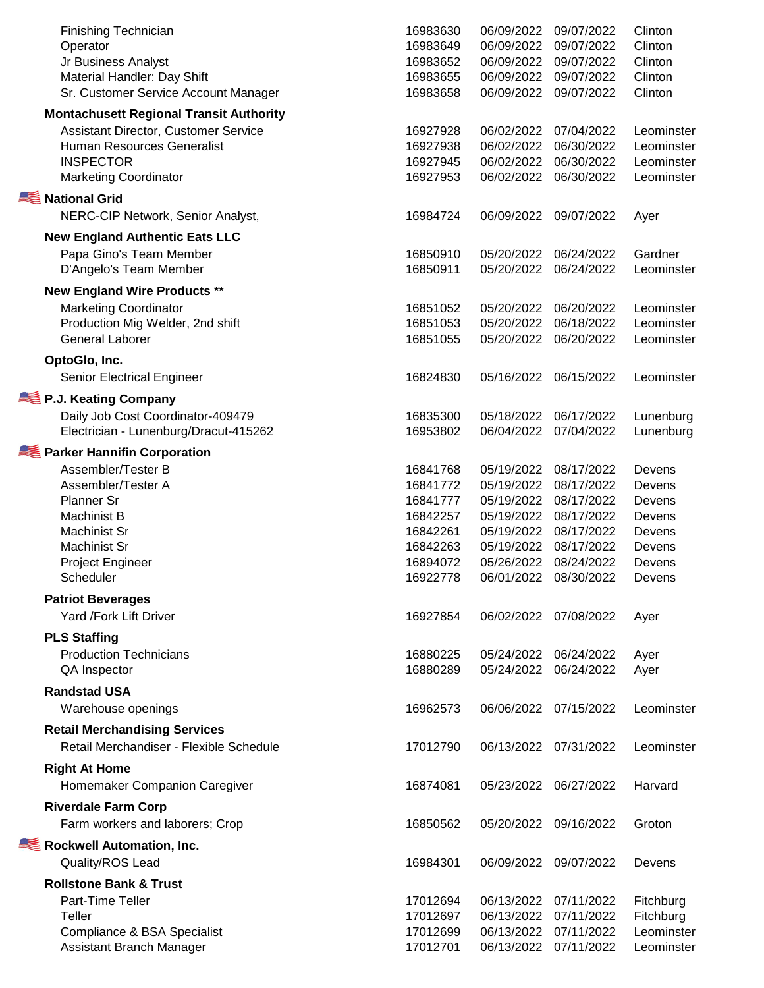| Finishing Technician<br>Operator<br>Jr Business Analyst<br>Material Handler: Day Shift<br>Sr. Customer Service Account Manager                                           | 16983630<br>16983649<br>16983652<br>16983655<br>16983658 | 06/09/2022<br>06/09/2022<br>06/09/2022<br>06/09/2022<br>06/09/2022 | 09/07/2022<br>09/07/2022<br>09/07/2022<br>09/07/2022<br>09/07/2022 | Clinton<br>Clinton<br>Clinton<br>Clinton<br>Clinton  |
|--------------------------------------------------------------------------------------------------------------------------------------------------------------------------|----------------------------------------------------------|--------------------------------------------------------------------|--------------------------------------------------------------------|------------------------------------------------------|
| <b>Montachusett Regional Transit Authority</b><br>Assistant Director, Customer Service<br>Human Resources Generalist<br><b>INSPECTOR</b><br><b>Marketing Coordinator</b> | 16927928<br>16927938<br>16927945<br>16927953             | 06/02/2022<br>06/02/2022<br>06/02/2022<br>06/02/2022               | 07/04/2022<br>06/30/2022<br>06/30/2022<br>06/30/2022               | Leominster<br>Leominster<br>Leominster<br>Leominster |
| National Grid<br>NERC-CIP Network, Senior Analyst,                                                                                                                       | 16984724                                                 | 06/09/2022                                                         | 09/07/2022                                                         | Ayer                                                 |
| <b>New England Authentic Eats LLC</b><br>Papa Gino's Team Member<br>D'Angelo's Team Member                                                                               | 16850910<br>16850911                                     | 05/20/2022<br>05/20/2022                                           | 06/24/2022<br>06/24/2022                                           | Gardner<br>Leominster                                |
| <b>New England Wire Products **</b>                                                                                                                                      |                                                          |                                                                    |                                                                    |                                                      |
| <b>Marketing Coordinator</b><br>Production Mig Welder, 2nd shift<br><b>General Laborer</b>                                                                               | 16851052<br>16851053<br>16851055                         | 05/20/2022<br>05/20/2022<br>05/20/2022                             | 06/20/2022<br>06/18/2022<br>06/20/2022                             | Leominster<br>Leominster<br>Leominster               |
| OptoGlo, Inc.                                                                                                                                                            |                                                          |                                                                    |                                                                    |                                                      |
| Senior Electrical Engineer                                                                                                                                               | 16824830                                                 | 05/16/2022                                                         | 06/15/2022                                                         | Leominster                                           |
| P.J. Keating Company                                                                                                                                                     |                                                          |                                                                    |                                                                    |                                                      |
| Daily Job Cost Coordinator-409479<br>Electrician - Lunenburg/Dracut-415262                                                                                               | 16835300<br>16953802                                     | 05/18/2022<br>06/04/2022                                           | 06/17/2022<br>07/04/2022                                           | Lunenburg<br>Lunenburg                               |
| Parker Hannifin Corporation                                                                                                                                              |                                                          |                                                                    |                                                                    |                                                      |
| Assembler/Tester B                                                                                                                                                       | 16841768                                                 | 05/19/2022                                                         | 08/17/2022                                                         | Devens                                               |
| Assembler/Tester A                                                                                                                                                       | 16841772                                                 | 05/19/2022                                                         | 08/17/2022                                                         | Devens                                               |
| Planner Sr<br>Machinist B                                                                                                                                                | 16841777<br>16842257                                     | 05/19/2022<br>05/19/2022                                           | 08/17/2022<br>08/17/2022                                           | Devens<br>Devens                                     |
| Machinist Sr                                                                                                                                                             | 16842261                                                 | 05/19/2022                                                         | 08/17/2022                                                         | Devens                                               |
| Machinist Sr                                                                                                                                                             | 16842263                                                 | 05/19/2022                                                         | 08/17/2022                                                         | Devens                                               |
| Project Engineer                                                                                                                                                         | 16894072                                                 | 05/26/2022                                                         | 08/24/2022                                                         | Devens                                               |
| Scheduler                                                                                                                                                                | 16922778                                                 | 06/01/2022                                                         | 08/30/2022                                                         | Devens                                               |
| <b>Patriot Beverages</b>                                                                                                                                                 |                                                          |                                                                    |                                                                    |                                                      |
| Yard /Fork Lift Driver                                                                                                                                                   | 16927854                                                 | 06/02/2022                                                         | 07/08/2022                                                         | Ayer                                                 |
| <b>PLS Staffing</b>                                                                                                                                                      |                                                          |                                                                    |                                                                    |                                                      |
| <b>Production Technicians</b>                                                                                                                                            | 16880225                                                 | 05/24/2022                                                         | 06/24/2022                                                         | Ayer                                                 |
| QA Inspector                                                                                                                                                             | 16880289                                                 | 05/24/2022                                                         | 06/24/2022                                                         | Ayer                                                 |
| <b>Randstad USA</b>                                                                                                                                                      |                                                          |                                                                    |                                                                    |                                                      |
| Warehouse openings                                                                                                                                                       | 16962573                                                 | 06/06/2022                                                         | 07/15/2022                                                         | Leominster                                           |
| <b>Retail Merchandising Services</b><br>Retail Merchandiser - Flexible Schedule                                                                                          | 17012790                                                 | 06/13/2022                                                         | 07/31/2022                                                         | Leominster                                           |
| <b>Right At Home</b><br>Homemaker Companion Caregiver                                                                                                                    | 16874081                                                 | 05/23/2022                                                         | 06/27/2022                                                         | Harvard                                              |
| <b>Riverdale Farm Corp</b>                                                                                                                                               |                                                          |                                                                    |                                                                    |                                                      |
| Farm workers and laborers; Crop                                                                                                                                          | 16850562                                                 | 05/20/2022                                                         | 09/16/2022                                                         | Groton                                               |
| Rockwell Automation, Inc.<br>Quality/ROS Lead                                                                                                                            | 16984301                                                 | 06/09/2022                                                         | 09/07/2022                                                         | Devens                                               |
| <b>Rollstone Bank &amp; Trust</b>                                                                                                                                        |                                                          |                                                                    |                                                                    |                                                      |
| Part-Time Teller                                                                                                                                                         | 17012694                                                 | 06/13/2022                                                         | 07/11/2022                                                         | Fitchburg                                            |
| Teller                                                                                                                                                                   | 17012697                                                 | 06/13/2022                                                         | 07/11/2022                                                         | Fitchburg                                            |
| Compliance & BSA Specialist                                                                                                                                              | 17012699                                                 | 06/13/2022                                                         | 07/11/2022                                                         | Leominster                                           |
| Assistant Branch Manager                                                                                                                                                 | 17012701                                                 | 06/13/2022                                                         | 07/11/2022                                                         | Leominster                                           |
|                                                                                                                                                                          |                                                          |                                                                    |                                                                    |                                                      |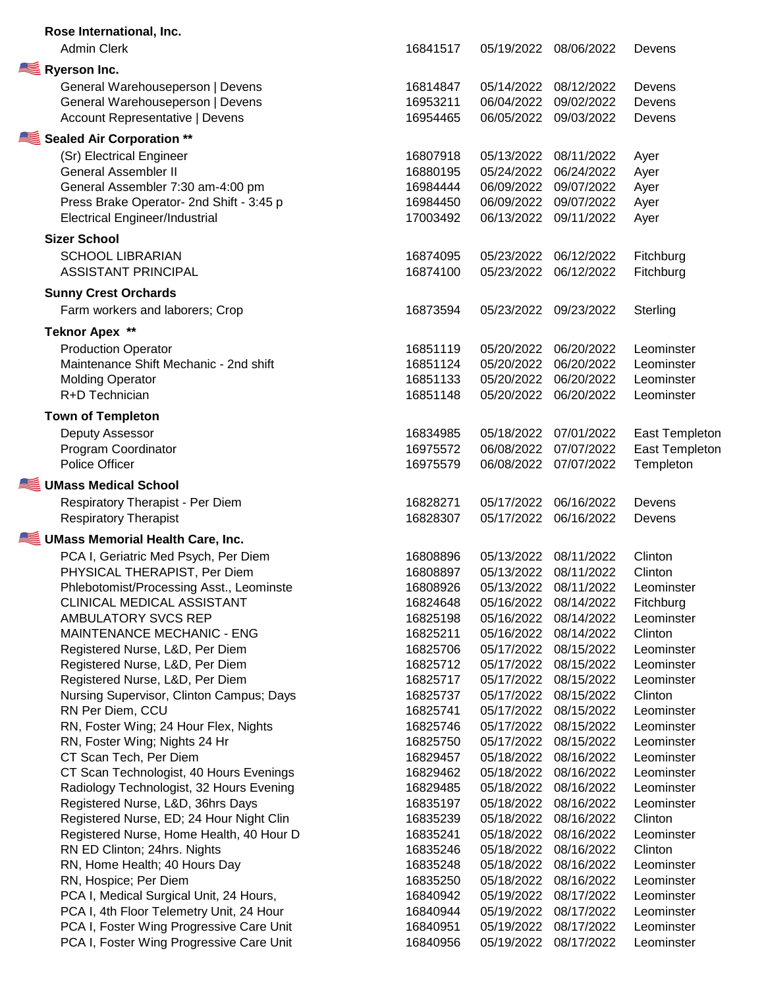| Rose International, Inc.                                             |          |            |                       |                       |
|----------------------------------------------------------------------|----------|------------|-----------------------|-----------------------|
| <b>Admin Clerk</b>                                                   | 16841517 | 05/19/2022 | 08/06/2022            | Devens                |
| Ryerson Inc.                                                         |          |            |                       |                       |
|                                                                      | 16814847 | 05/14/2022 | 08/12/2022            | Devens                |
| General Warehouseperson   Devens<br>General Warehouseperson   Devens | 16953211 | 06/04/2022 | 09/02/2022            | Devens                |
|                                                                      | 16954465 | 06/05/2022 | 09/03/2022            |                       |
| <b>Account Representative   Devens</b>                               |          |            |                       | Devens                |
| Sealed Air Corporation **                                            |          |            |                       |                       |
| (Sr) Electrical Engineer                                             | 16807918 | 05/13/2022 | 08/11/2022            | Ayer                  |
| <b>General Assembler II</b>                                          | 16880195 | 05/24/2022 | 06/24/2022            | Ayer                  |
| General Assembler 7:30 am-4:00 pm                                    | 16984444 | 06/09/2022 | 09/07/2022            | Ayer                  |
| Press Brake Operator- 2nd Shift - 3:45 p                             | 16984450 | 06/09/2022 | 09/07/2022            | Ayer                  |
| <b>Electrical Engineer/Industrial</b>                                | 17003492 | 06/13/2022 | 09/11/2022            | Ayer                  |
| <b>Sizer School</b>                                                  |          |            |                       |                       |
| <b>SCHOOL LIBRARIAN</b>                                              | 16874095 | 05/23/2022 | 06/12/2022            | Fitchburg             |
| <b>ASSISTANT PRINCIPAL</b>                                           | 16874100 | 05/23/2022 | 06/12/2022            | Fitchburg             |
|                                                                      |          |            |                       |                       |
| <b>Sunny Crest Orchards</b>                                          |          |            |                       |                       |
| Farm workers and laborers; Crop                                      | 16873594 | 05/23/2022 | 09/23/2022            | Sterling              |
| <b>Teknor Apex **</b>                                                |          |            |                       |                       |
| <b>Production Operator</b>                                           | 16851119 | 05/20/2022 | 06/20/2022            | Leominster            |
| Maintenance Shift Mechanic - 2nd shift                               | 16851124 | 05/20/2022 | 06/20/2022            | Leominster            |
| <b>Molding Operator</b>                                              | 16851133 | 05/20/2022 | 06/20/2022            | Leominster            |
| R+D Technician                                                       | 16851148 | 05/20/2022 | 06/20/2022            | Leominster            |
|                                                                      |          |            |                       |                       |
| <b>Town of Templeton</b>                                             |          |            |                       |                       |
| Deputy Assessor                                                      | 16834985 | 05/18/2022 | 07/01/2022            | <b>East Templeton</b> |
| Program Coordinator                                                  | 16975572 | 06/08/2022 | 07/07/2022            | <b>East Templeton</b> |
| Police Officer                                                       | 16975579 | 06/08/2022 | 07/07/2022            | Templeton             |
| UMass Medical School                                                 |          |            |                       |                       |
| Respiratory Therapist - Per Diem                                     | 16828271 | 05/17/2022 | 06/16/2022            | Devens                |
| <b>Respiratory Therapist</b>                                         | 16828307 | 05/17/2022 | 06/16/2022            | Devens                |
| UMass Memorial Health Care, Inc.                                     |          |            |                       |                       |
|                                                                      |          |            |                       |                       |
| PCA I, Geriatric Med Psych, Per Diem                                 | 16808896 | 05/13/2022 | 08/11/2022            | Clinton               |
| PHYSICAL THERAPIST, Per Diem                                         | 16808897 | 05/13/2022 | 08/11/2022            | Clinton               |
| Phlebotomist/Processing Asst., Leominste                             | 16808926 |            | 05/13/2022 08/11/2022 | Leominster            |
| CLINICAL MEDICAL ASSISTANT                                           | 16824648 | 05/16/2022 | 08/14/2022            | Fitchburg             |
| AMBULATORY SVCS REP                                                  | 16825198 | 05/16/2022 | 08/14/2022            | Leominster            |
| <b>MAINTENANCE MECHANIC - ENG</b>                                    | 16825211 | 05/16/2022 | 08/14/2022            | Clinton               |
| Registered Nurse, L&D, Per Diem                                      | 16825706 | 05/17/2022 | 08/15/2022            | Leominster            |
| Registered Nurse, L&D, Per Diem                                      | 16825712 | 05/17/2022 | 08/15/2022            | Leominster            |
| Registered Nurse, L&D, Per Diem                                      | 16825717 | 05/17/2022 | 08/15/2022            | Leominster            |
| Nursing Supervisor, Clinton Campus; Days                             | 16825737 | 05/17/2022 | 08/15/2022            | Clinton               |
| RN Per Diem, CCU                                                     | 16825741 | 05/17/2022 | 08/15/2022            | Leominster            |
| RN, Foster Wing; 24 Hour Flex, Nights                                | 16825746 | 05/17/2022 | 08/15/2022            | Leominster            |
| RN, Foster Wing; Nights 24 Hr                                        | 16825750 | 05/17/2022 | 08/15/2022            | Leominster            |
| CT Scan Tech, Per Diem                                               | 16829457 | 05/18/2022 | 08/16/2022            | Leominster            |
| CT Scan Technologist, 40 Hours Evenings                              | 16829462 | 05/18/2022 | 08/16/2022            | Leominster            |
| Radiology Technologist, 32 Hours Evening                             | 16829485 | 05/18/2022 | 08/16/2022            | Leominster            |
| Registered Nurse, L&D, 36hrs Days                                    | 16835197 | 05/18/2022 | 08/16/2022            | Leominster            |
| Registered Nurse, ED; 24 Hour Night Clin                             | 16835239 | 05/18/2022 | 08/16/2022            | Clinton               |
| Registered Nurse, Home Health, 40 Hour D                             | 16835241 | 05/18/2022 | 08/16/2022            | Leominster            |
| RN ED Clinton; 24hrs. Nights                                         | 16835246 | 05/18/2022 | 08/16/2022            | Clinton               |
| RN, Home Health; 40 Hours Day                                        | 16835248 | 05/18/2022 | 08/16/2022            | Leominster            |
| RN, Hospice; Per Diem                                                | 16835250 | 05/18/2022 | 08/16/2022            | Leominster            |
| PCA I, Medical Surgical Unit, 24 Hours,                              | 16840942 | 05/19/2022 | 08/17/2022            | Leominster            |
| PCA I, 4th Floor Telemetry Unit, 24 Hour                             | 16840944 | 05/19/2022 | 08/17/2022            | Leominster            |
| PCA I, Foster Wing Progressive Care Unit                             | 16840951 | 05/19/2022 | 08/17/2022            | Leominster            |
| PCA I, Foster Wing Progressive Care Unit                             | 16840956 | 05/19/2022 | 08/17/2022            | Leominster            |
|                                                                      |          |            |                       |                       |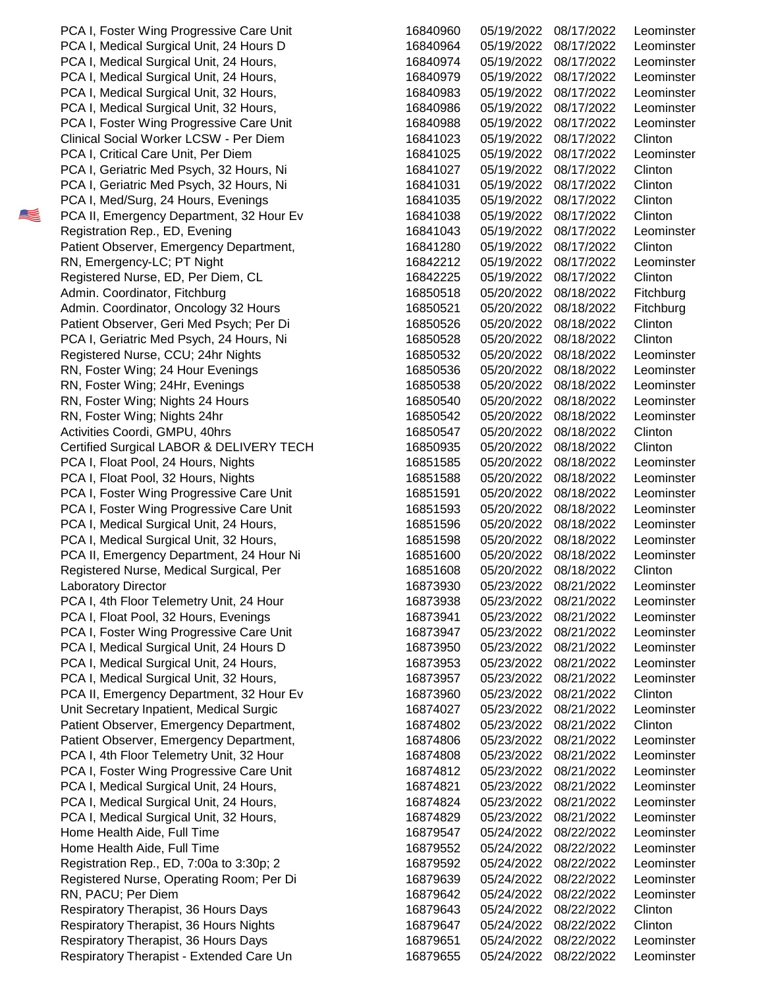Respiratory Therapist, 36 Hours Nights Respiratory Therapist, 36 Hours Days Respiratory Therapist - Extended Care Un Registered Nurse, Operating Room; Per Di RN, PACU; Per Diem Respiratory Therapist, 36 Hours Days Home Health Aide, Full Time Home Health Aide, Full Time Registration Rep., ED, 7:00a to 3:30p; 2 PCA I, Medical Surgical Unit, 24 Hours, PCA I, Medical Surgical Unit, 24 Hours, PCA I, Medical Surgical Unit, 32 Hours, Patient Observer, Emergency Department, PCA I, 4th Floor Telemetry Unit, 32 Hour PCA I, Foster Wing Progressive Care Unit PCA II, Emergency Department, 32 Hour Ev Unit Secretary Inpatient, Medical Surgic Patient Observer, Emergency Department, PCA I, Medical Surgical Unit, 24 Hours D PCA I, Medical Surgical Unit, 24 Hours, PCA I, Medical Surgical Unit, 32 Hours, PCA I, 4th Floor Telemetry Unit, 24 Hour PCA I, Float Pool, 32 Hours, Evenings PCA I, Foster Wing Progressive Care Unit PCA II, Emergency Department, 24 Hour Ni Registered Nurse, Medical Surgical, Per Laboratory Director PCA I, Foster Wing Progressive Care Unit PCA I, Medical Surgical Unit, 24 Hours, PCA I, Medical Surgical Unit, 32 Hours, PCA I, Float Pool, 24 Hours, Nights PCA I, Float Pool, 32 Hours, Nights PCA I, Foster Wing Progressive Care Unit RN, Foster Wing; Nights 24hr Activities Coordi, GMPU, 40hrs Certified Surgical LABOR & DELIVERY TECH RN, Foster Wing; 24 Hour Evenings RN, Foster Wing; 24Hr, Evenings RN, Foster Wing; Nights 24 Hours Patient Observer, Geri Med Psych; Per Di PCA I, Geriatric Med Psych, 24 Hours, Ni Registered Nurse, CCU; 24hr Nights Registered Nurse, ED, Per Diem, CL Admin. Coordinator, Fitchburg Admin. Coordinator, Oncology 32 Hours Registration Rep., ED, Evening Patient Observer, Emergency Department, RN, Emergency-LC; PT Night PCA I, Geriatric Med Psych, 32 Hours, Ni PCA I, Med/Surg, 24 Hours, Evenings PCA II, Emergency Department, 32 Hour Ev Clinical Social Worker LCSW - Per Diem PCA I, Critical Care Unit, Per Diem PCA I, Geriatric Med Psych, 32 Hours, Ni PCA I, Medical Surgical Unit, 32 Hours, PCA I, Medical Surgical Unit, 32 Hours, PCA I, Foster Wing Progressive Care Unit PCA I, Medical Surgical Unit, 24 Hours D PCA I, Medical Surgical Unit, 24 Hours, PCA I, Medical Surgical Unit, 24 Hours, PCA I, Foster Wing Progressive Care Unit

| 16840960 | 05/19/2022 | 08/17/2022 | Leominster               |
|----------|------------|------------|--------------------------|
| 16840964 | 05/19/2022 | 08/17/2022 | Leominster               |
| 16840974 | 05/19/2022 | 08/17/2022 | Leominster               |
| 16840979 | 05/19/2022 | 08/17/2022 | Leominster               |
| 16840983 | 05/19/2022 | 08/17/2022 | Leominster               |
| 16840986 | 05/19/2022 | 08/17/2022 | Leominster               |
| 16840988 | 05/19/2022 | 08/17/2022 | Leominster               |
| 16841023 | 05/19/2022 | 08/17/2022 | Clinton                  |
| 16841025 | 05/19/2022 | 08/17/2022 | Leominster               |
| 16841027 | 05/19/2022 | 08/17/2022 | Clinton                  |
| 16841031 | 05/19/2022 | 08/17/2022 | Clinton                  |
| 16841035 | 05/19/2022 | 08/17/2022 | Clinton                  |
| 16841038 | 05/19/2022 | 08/17/2022 | Clinton                  |
| 16841043 | 05/19/2022 | 08/17/2022 | Leominster               |
| 16841280 | 05/19/2022 | 08/17/2022 | Clinton                  |
| 16842212 | 05/19/2022 | 08/17/2022 | Leominster               |
| 16842225 | 05/19/2022 | 08/17/2022 | Clinton                  |
| 16850518 | 05/20/2022 | 08/18/2022 | Fitchburg                |
| 16850521 | 05/20/2022 | 08/18/2022 | Fitchburg                |
| 16850526 | 05/20/2022 | 08/18/2022 | Clinton                  |
| 16850528 | 05/20/2022 | 08/18/2022 | Clinton                  |
| 16850532 | 05/20/2022 | 08/18/2022 | Leominster               |
| 16850536 | 05/20/2022 | 08/18/2022 |                          |
| 16850538 | 05/20/2022 | 08/18/2022 | Leominster<br>Leominster |
|          |            |            |                          |
| 16850540 | 05/20/2022 | 08/18/2022 | Leominster               |
| 16850542 | 05/20/2022 | 08/18/2022 | Leominster               |
| 16850547 | 05/20/2022 | 08/18/2022 | Clinton                  |
| 16850935 | 05/20/2022 | 08/18/2022 | Clinton                  |
| 16851585 | 05/20/2022 | 08/18/2022 | Leominster               |
| 16851588 | 05/20/2022 | 08/18/2022 | Leominster               |
| 16851591 | 05/20/2022 | 08/18/2022 | Leominster               |
| 16851593 | 05/20/2022 | 08/18/2022 | Leominster               |
| 16851596 | 05/20/2022 | 08/18/2022 | Leominster               |
| 16851598 | 05/20/2022 | 08/18/2022 | Leominster               |
| 16851600 | 05/20/2022 | 08/18/2022 | Leominster               |
| 16851608 | 05/20/2022 | 08/18/2022 | Clinton                  |
| 16873930 | 05/23/2022 | 08/21/2022 | Leominster               |
| 16873938 | 05/23/2022 | 08/21/2022 | Leominster               |
| 16873941 | 05/23/2022 | 08/21/2022 | Leominster               |
| 16873947 | 05/23/2022 | 08/21/2022 | Leominster               |
| 16873950 | 05/23/2022 | 08/21/2022 | Leominster               |
| 16873953 | 05/23/2022 | 08/21/2022 | Leominster               |
| 16873957 | 05/23/2022 | 08/21/2022 | Leominster               |
| 16873960 | 05/23/2022 | 08/21/2022 | Clinton                  |
| 16874027 | 05/23/2022 | 08/21/2022 | Leominster               |
| 16874802 | 05/23/2022 | 08/21/2022 | Clinton                  |
| 16874806 | 05/23/2022 | 08/21/2022 | Leominster               |
| 16874808 | 05/23/2022 | 08/21/2022 | Leominster               |
| 16874812 | 05/23/2022 | 08/21/2022 | Leominster               |
| 16874821 | 05/23/2022 | 08/21/2022 | Leominster               |
| 16874824 | 05/23/2022 | 08/21/2022 | Leominster               |
| 16874829 | 05/23/2022 | 08/21/2022 | Leominster               |
| 16879547 | 05/24/2022 | 08/22/2022 | Leominster               |
| 16879552 | 05/24/2022 | 08/22/2022 | Leominster               |
| 16879592 | 05/24/2022 | 08/22/2022 | Leominster               |
| 16879639 | 05/24/2022 | 08/22/2022 | Leominster               |
| 16879642 | 05/24/2022 | 08/22/2022 | Leominster               |
| 16879643 | 05/24/2022 | 08/22/2022 | Clinton                  |
| 16879647 | 05/24/2022 | 08/22/2022 | Clinton                  |
| 16879651 | 05/24/2022 | 08/22/2022 | Leominster               |
| 16879655 | 05/24/2022 | 08/22/2022 | Leominster               |
|          |            |            |                          |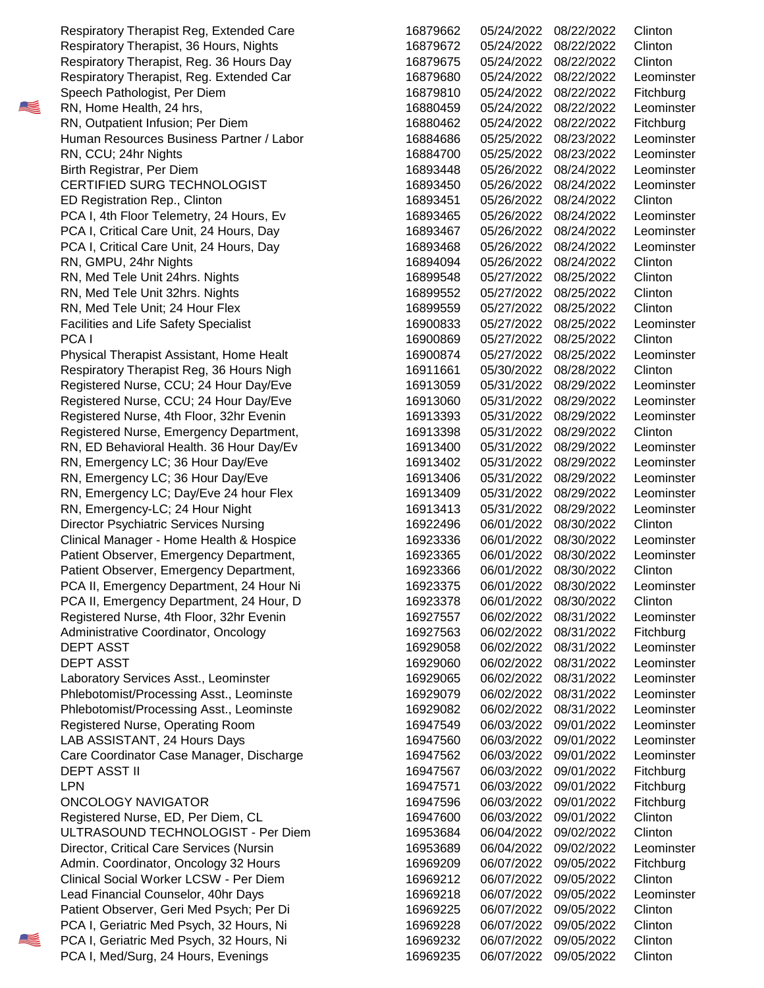16894094 05/26/2022 08/24/2022 RN, GMPU, 24hr Nights Clinton 16900869 05/27/2022 08/25/2022 PCA I Clinton Patient Observer, Geri Med Psych; Per Di Clinton and the 16969225 06/07/2022 09/05/2022 Clinton PCA I, Geriatric Med Psych, 32 Hours, Ni 16969228 06/07/2022 09/05/2022 Clinton PCA I, Geriatric Med Psych, 32 Hours, Ni 16969232 06/07/2022 09/05/2022 Clinton Clinical Social Worker LCSW - Per Diem  $16969212$  06/07/2022 09/05/2022 Clinton Registered Nurse, ED, Per Diem, CL <br>
2016947600 06/03/2022 09/01/2022 Clinton ULTRASOUND TECHNOLOGIST - Per Diem 16953684 06/04/2022 09/02/2022 Clinton PCA II, Emergency Department, 24 Hour, D 16923378 06/01/2022 08/30/2022 Clinton Patient Observer, Emergency Department,  $16923366$  06/01/2022 08/30/2022 Clinton Director Psychiatric Services Nursing 2008 2009 16922496 206/01/2022 08/30/2022 Clinton Registered Nurse, Emergency Department,  $16913398$  05/31/2022 08/29/2022 Clinton Respiratory Therapist Reg, 36 Hours Nigh 16911661 05/30/2022 08/28/2022 Clinton RN, Med Tele Unit; 24 Hour Flex **Clinton Clinton 16899559** 05/27/2022 08/25/2022 Clinton RN, Med Tele Unit 24hrs. Nights Clinton Clinton Control 16899548 05/27/2022 08/25/2022 Clinton RN, Med Tele Unit 32hrs. Nights Clinton Clinton 2016899552 05/27/2022 08/25/2022 Clinton ED Registration Rep., Clinton **Community** 2011 16893451 05/26/2022 08/24/2022 Clinton Respiratory Therapist Reg, Extended Care 16879662 05/24/2022 08/22/2022 Clinton Respiratory Therapist, 36 Hours, Nights **Clinton Clinton 16879672** 05/24/2022 08/22/2022 Clinton

 05/24/2022 08/22/2022 05/24/2022 08/22/2022 05/24/2022 08/22/2022 05/24/2022 08/22/2022 05/24/2022 08/22/2022 05/24/2022 08/22/2022 05/24/2022 08/22/2022 05/25/2022 08/23/2022 05/25/2022 08/23/2022 RN, CCU; 24hr Nights Leominster 05/26/2022 08/24/2022 05/26/2022 08/24/2022 05/26/2022 08/24/2022 05/26/2022 08/24/2022 05/26/2022 08/24/2022 05/26/2022 08/24/2022 05/27/2022 08/25/2022 05/27/2022 08/25/2022 05/27/2022 08/25/2022 05/27/2022 08/25/2022 05/27/2022 08/25/2022 05/30/2022 08/28/2022 05/31/2022 08/29/2022 05/31/2022 08/29/2022 05/31/2022 08/29/2022 05/31/2022 08/29/2022 05/31/2022 08/29/2022 05/31/2022 08/29/2022 05/31/2022 08/29/2022 05/31/2022 08/29/2022 05/31/2022 08/29/2022 06/01/2022 08/30/2022 06/01/2022 08/30/2022 06/01/2022 08/30/2022 06/01/2022 08/30/2022 06/01/2022 08/30/2022 06/01/2022 08/30/2022 06/02/2022 08/31/2022 06/02/2022 08/31/2022 06/02/2022 08/31/2022 DEPT ASST Leominster 06/02/2022 08/31/2022 DEPT ASST Leominster 06/02/2022 08/31/2022 06/02/2022 08/31/2022 06/02/2022 08/31/2022 06/03/2022 09/01/2022 06/03/2022 09/01/2022 06/03/2022 09/01/2022 06/03/2022 09/01/2022 DEPT ASST II Fitchburg 06/03/2022 09/01/2022 LPN Fitchburg 06/03/2022 09/01/2022 06/03/2022 09/01/2022 06/04/2022 09/02/2022 06/04/2022 09/02/2022 06/07/2022 09/05/2022 06/07/2022 09/05/2022 06/07/2022 09/05/2022 06/07/2022 09/05/2022 06/07/2022 09/05/2022 06/07/2022 09/05/2022 PCA I, Med/Surg, 24 Hours, Evenings 16969235 06/07/2022 09/05/2022 Clinton Admin. Coordinator, Oncology 32 Hours Fitchburg 16969209 06/07/2022 09/05/2022 Fitchburg Lead Financial Counselor, 40hr Days Leominster 16969218 06/07/2022 09/05/2022 Leominster Director, Critical Care Services (Nursin and Marchields 16953689 06/04/2022 09/02/2022 Leominster ONCOLOGY NAVIGATOR **Fitchburg** 16947596 06/03/2022 09/01/2022 Fitchburg Registered Nurse, Operating Room and Material Museum of the 16947549 06/03/2022 09/01/2022 Leominster LAB ASSISTANT, 24 Hours Days 2008 16947560 16947560 06/03/2022 09/01/2022 Leominster Care Coordinator Case Manager, Discharge 16947562 06/03/2022 09/01/2022 Leominster Laboratory Services Asst., Leominster 16929065 06/02/2022 08/31/2022 Leominster Phlebotomist/Processing Asst., Leominste 16929079 06/02/2022 08/31/2022 Leominster Phlebotomist/Processing Asst., Leominste 16929082 06/02/2022 08/31/2022 Leominster Administrative Coordinator, Oncology 16927563 06/02/2022 08/31/2022 Fitchburg PCA II, Emergency Department, 24 Hour Ni 16923375 06/01/2022 08/30/2022 Leominster Registered Nurse, 4th Floor, 32hr Evenin 16927557 06/02/2022 08/31/2022 Leominster Clinical Manager - Home Health & Hospice 16923336 06/01/2022 08/30/2022 Leominster Patient Observer, Emergency Department, 16923365 06/01/2022 08/30/2022 Leominster RN, Emergency LC; Day/Eve 24 hour Flex 16913409 05/31/2022 08/29/2022 Leominster RN, Emergency-LC; 24 Hour Night Leominster 16913413 05/31/2022 08/29/2022 Leominster RN, ED Behavioral Health. 36 Hour Day/Ev 16913400 05/31/2022 08/29/2022 Leominster RN, Emergency LC; 36 Hour Day/Eve 16913402 05/31/2022 08/29/2022 Leominster RN, Emergency LC; 36 Hour Day/Eve Letter 16913406 05/31/2022 08/29/2022 Leominster Registered Nurse, CCU; 24 Hour Day/Eve 16913060 05/31/2022 08/29/2022 Leominster Registered Nurse, 4th Floor, 32hr Evenin Leonin Leopold Murse 16913393 05/31/2022 08/29/2022 Leominster Physical Therapist Assistant, Home Healt 16900874 05/27/2022 08/25/2022 Leominster Registered Nurse, CCU; 24 Hour Day/Eve Leominster 16913059 05/31/2022 08/29/2022 Leominster Facilities and Life Safety Specialist The Control of the Case of the 16900833 05/27/2022 08/25/2022 Leominster PCA I, 4th Floor Telemetry, 24 Hours, Ev 16893465 05/26/2022 08/24/2022 Leominster PCA I, Critical Care Unit, 24 Hours, Day 16893467 05/26/2022 08/24/2022 Leominster PCA I, Critical Care Unit, 24 Hours, Day 16893468 05/26/2022 08/24/2022 Leominster Birth Registrar, Per Diem **Leominster** 16893448 05/26/2022 08/24/2022 Leominster CERTIFIED SURG TECHNOLOGIST 16893450 05/26/2022 08/24/2022 Leominster RN, Outpatient Infusion; Per Diem Fitchburg 16880462 05/24/2022 08/22/2022 Fitchburg Human Resources Business Partner / Labor 16884686 05/25/2022 08/23/2022 Leominster Respiratory Therapist, Reg. Extended Car 16879680 05/24/2022 08/22/2022 Leominster Speech Pathologist, Per Diem **Fitchburg** 16879810 05/24/2022 08/22/2022 Fitchburg RN, Home Health, 24 hrs, New York 16880459 05/24/2022 08/22/2022 Leominster Respiratory Therapist, Reg. 36 Hours Day 16879675 05/24/2022 08/22/2022 Clinton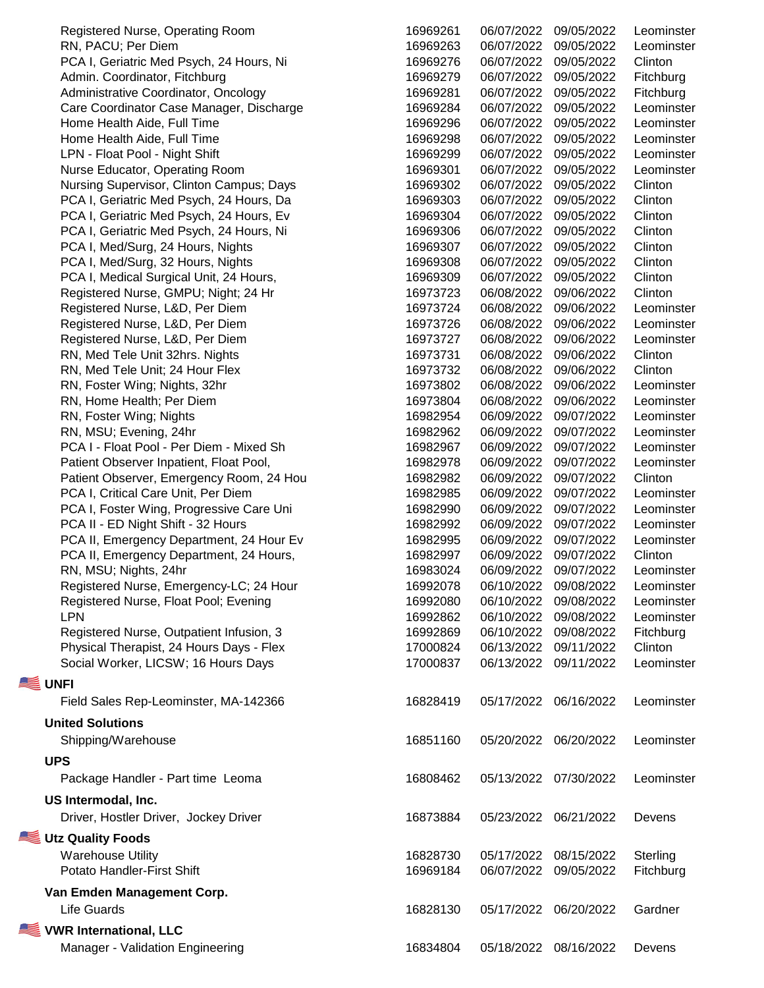Driver, Hostler Driver, Jockey Driver **Utz Quality Foods** Shipping/Warehouse **UPS** Package Handler - Part time Leoma **US Intermodal, Inc.** Social Worker, LICSW; 16 Hours Days **UNFI** Field Sales Rep-Leominster, MA-142366 **United Solutions** Registered Nurse, Outpatient Infusion, 3 Physical Therapist, 24 Hours Days - Flex RN, MSU; Nights, 24hr Registered Nurse, Emergency-LC; 24 Hour Registered Nurse, Float Pool; Evening PCA II - ED Night Shift - 32 Hours PCA II, Emergency Department, 24 Hour Ev PCA II, Emergency Department, 24 Hours, Patient Observer, Emergency Room, 24 Hou PCA I, Critical Care Unit, Per Diem PCA I, Foster Wing, Progressive Care Uni RN, MSU; Evening, 24hr PCA I - Float Pool - Per Diem - Mixed Sh Patient Observer Inpatient, Float Pool, RN, Foster Wing; Nights, 32hr RN, Home Health; Per Diem RN, Foster Wing; Nights Registered Nurse, L&D, Per Diem RN, Med Tele Unit 32hrs. Nights RN, Med Tele Unit; 24 Hour Flex Registered Nurse, GMPU; Night: 24 Hr Registered Nurse, L&D, Per Diem Registered Nurse, L&D, Per Diem PCA I, Med/Surg, 24 Hours, Nights PCA I, Med/Surg, 32 Hours, Nights PCA I, Medical Surgical Unit, 24 Hours, PCA I, Geriatric Med Psych, 24 Hours, Da PCA I, Geriatric Med Psych, 24 Hours, Ev PCA I, Geriatric Med Psych, 24 Hours, Ni LPN - Float Pool - Night Shift Nurse Educator, Operating Room Nursing Supervisor, Clinton Campus; Days Care Coordinator Case Manager, Discharge Home Health Aide, Full Time Home Health Aide, Full Time PCA I, Geriatric Med Psych, 24 Hours, Ni Admin. Coordinator, Fitchburg Administrative Coordinator, Oncology Registered Nurse, Operating Room RN, PACU; Per Diem

Warehouse Utility

## **Van Emden Management Corp.**

## **VWR International, LLC**

Manager - Validation Engineering

| Registered Nurse, Operating Room         | 16969261 | 06/07/2022 | 09/05/2022            | Leominster |
|------------------------------------------|----------|------------|-----------------------|------------|
| RN, PACU; Per Diem                       | 16969263 | 06/07/2022 | 09/05/2022            | Leominster |
| PCA I, Geriatric Med Psych, 24 Hours, Ni | 16969276 | 06/07/2022 | 09/05/2022            | Clinton    |
| Admin. Coordinator, Fitchburg            | 16969279 | 06/07/2022 | 09/05/2022            | Fitchburg  |
| Administrative Coordinator, Oncology     | 16969281 | 06/07/2022 | 09/05/2022            | Fitchburg  |
| Care Coordinator Case Manager, Discharge | 16969284 | 06/07/2022 | 09/05/2022            | Leominster |
| Home Health Aide, Full Time              | 16969296 | 06/07/2022 | 09/05/2022            | Leominster |
| Home Health Aide, Full Time              | 16969298 | 06/07/2022 | 09/05/2022            | Leominster |
| LPN - Float Pool - Night Shift           | 16969299 | 06/07/2022 | 09/05/2022            | Leominster |
| Nurse Educator, Operating Room           | 16969301 | 06/07/2022 | 09/05/2022            | Leominster |
| Nursing Supervisor, Clinton Campus; Days | 16969302 | 06/07/2022 | 09/05/2022            | Clinton    |
| PCA I, Geriatric Med Psych, 24 Hours, Da | 16969303 | 06/07/2022 | 09/05/2022            | Clinton    |
| PCA I, Geriatric Med Psych, 24 Hours, Ev | 16969304 | 06/07/2022 | 09/05/2022            | Clinton    |
| PCA I, Geriatric Med Psych, 24 Hours, Ni | 16969306 | 06/07/2022 | 09/05/2022            | Clinton    |
| PCA I, Med/Surg, 24 Hours, Nights        | 16969307 | 06/07/2022 | 09/05/2022            | Clinton    |
| PCA I, Med/Surg, 32 Hours, Nights        | 16969308 | 06/07/2022 | 09/05/2022            | Clinton    |
| PCA I, Medical Surgical Unit, 24 Hours,  | 16969309 | 06/07/2022 | 09/05/2022            | Clinton    |
| Registered Nurse, GMPU; Night; 24 Hr     | 16973723 | 06/08/2022 | 09/06/2022            | Clinton    |
| Registered Nurse, L&D, Per Diem          | 16973724 | 06/08/2022 | 09/06/2022            | Leominster |
| Registered Nurse, L&D, Per Diem          | 16973726 | 06/08/2022 | 09/06/2022            | Leominster |
| Registered Nurse, L&D, Per Diem          | 16973727 | 06/08/2022 | 09/06/2022            | Leominster |
| RN, Med Tele Unit 32hrs. Nights          | 16973731 | 06/08/2022 | 09/06/2022            | Clinton    |
| RN, Med Tele Unit; 24 Hour Flex          | 16973732 | 06/08/2022 | 09/06/2022            | Clinton    |
| RN, Foster Wing; Nights, 32hr            | 16973802 | 06/08/2022 | 09/06/2022            | Leominster |
| RN, Home Health; Per Diem                | 16973804 | 06/08/2022 | 09/06/2022            | Leominster |
| RN, Foster Wing; Nights                  | 16982954 | 06/09/2022 | 09/07/2022            | Leominster |
| RN, MSU; Evening, 24hr                   | 16982962 | 06/09/2022 | 09/07/2022            | Leominster |
| PCA I - Float Pool - Per Diem - Mixed Sh | 16982967 | 06/09/2022 | 09/07/2022            | Leominster |
| Patient Observer Inpatient, Float Pool,  | 16982978 | 06/09/2022 | 09/07/2022            | Leominster |
| Patient Observer, Emergency Room, 24 Hou | 16982982 | 06/09/2022 | 09/07/2022            | Clinton    |
| PCA I, Critical Care Unit, Per Diem      | 16982985 | 06/09/2022 | 09/07/2022            | Leominster |
| PCA I, Foster Wing, Progressive Care Uni | 16982990 | 06/09/2022 | 09/07/2022            | Leominster |
| PCA II - ED Night Shift - 32 Hours       | 16982992 | 06/09/2022 | 09/07/2022            | Leominster |
| PCA II, Emergency Department, 24 Hour Ev | 16982995 | 06/09/2022 | 09/07/2022            | Leominster |
| PCA II, Emergency Department, 24 Hours,  | 16982997 | 06/09/2022 | 09/07/2022            | Clinton    |
| RN, MSU; Nights, 24hr                    | 16983024 | 06/09/2022 | 09/07/2022            | Leominster |
| Registered Nurse, Emergency-LC; 24 Hour  | 16992078 |            | 06/10/2022 09/08/2022 | Leominster |
| Registered Nurse, Float Pool; Evening    | 16992080 | 06/10/2022 | 09/08/2022            | Leominster |
| LPN                                      | 16992862 | 06/10/2022 | 09/08/2022            | Leominster |
| Registered Nurse, Outpatient Infusion, 3 | 16992869 | 06/10/2022 | 09/08/2022            | Fitchburg  |
| Physical Therapist, 24 Hours Days - Flex | 17000824 | 06/13/2022 | 09/11/2022            | Clinton    |
| Social Worker, LICSW; 16 Hours Days      | 17000837 | 06/13/2022 | 09/11/2022            | Leominster |
| ΙFΙ                                      |          |            |                       |            |
| Field Sales Rep-Leominster, MA-142366    | 16828419 |            | 05/17/2022 06/16/2022 | Leominster |
| <b>ited Solutions</b>                    |          |            |                       |            |
| Shipping/Warehouse                       | 16851160 | 05/20/2022 | 06/20/2022            | Leominster |
|                                          |          |            |                       |            |
| ۱S                                       |          |            |                       |            |
| Package Handler - Part time Leoma        | 16808462 |            | 05/13/2022 07/30/2022 | Leominster |
| Intermodal, Inc.                         |          |            |                       |            |
| Driver, Hostler Driver, Jockey Driver    | 16873884 |            | 05/23/2022 06/21/2022 | Devens     |
|                                          |          |            |                       |            |
| <b>Z Quality Foods</b>                   |          |            |                       |            |
| <b>Warehouse Utility</b>                 | 16828730 | 05/17/2022 | 08/15/2022            | Sterling   |
| Potato Handler-First Shift               | 16969184 | 06/07/2022 | 09/05/2022            | Fitchburg  |
| n Emden Management Corp.                 |          |            |                       |            |
| Life Guards                              | 16828130 | 05/17/2022 | 06/20/2022            | Gardner    |
|                                          |          |            |                       |            |
| /R International, LLC                    |          |            |                       |            |
| Manager - Validation Engineering         | 16834804 |            | 05/18/2022 08/16/2022 | Devens     |